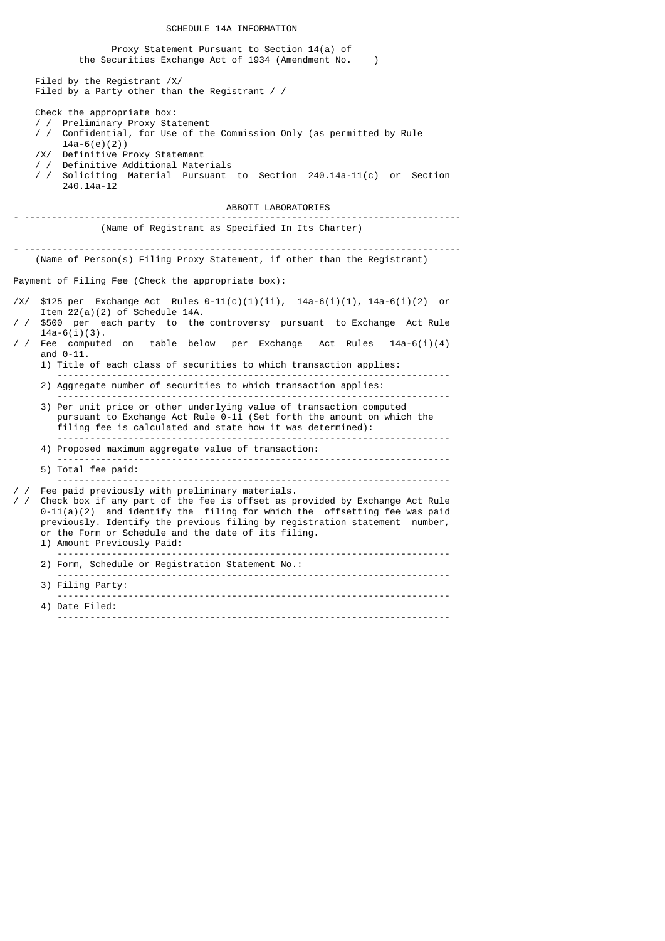# SCHEDULE 14A INFORMATION

|                                 | Proxy Statement Pursuant to Section 14(a) of<br>the Securities Exchange Act of 1934 (Amendment No.<br>$\lambda$                                                                                                                                                                                                                                                                 |
|---------------------------------|---------------------------------------------------------------------------------------------------------------------------------------------------------------------------------------------------------------------------------------------------------------------------------------------------------------------------------------------------------------------------------|
|                                 | Filed by the Registrant /X/<br>Filed by a Party other than the Registrant / /                                                                                                                                                                                                                                                                                                   |
|                                 | Check the appropriate box:<br>/ / Preliminary Proxy Statement<br>/ / Confidential, for Use of the Commission Only (as permitted by Rule<br>$14a-6(e)(2)$<br>Definitive Proxy Statement<br>/X/<br>Definitive Additional Materials<br>$\prime$ /<br>// Soliciting Material Pursuant to Section 240.14a-11(c) or Section<br>240.14a-12                                             |
|                                 | ABBOTT LABORATORIES                                                                                                                                                                                                                                                                                                                                                             |
|                                 | (Name of Registrant as Specified In Its Charter)                                                                                                                                                                                                                                                                                                                                |
|                                 | (Name of Person(s) Filing Proxy Statement, if other than the Registrant)                                                                                                                                                                                                                                                                                                        |
|                                 | Payment of Filing Fee (Check the appropriate box):                                                                                                                                                                                                                                                                                                                              |
| /X/<br>$\prime$ /<br>$\prime$ / | \$125 per Exchange Act Rules $0-11(c)(1)(ii)$ , 14a-6(i)(1), 14a-6(i)(2) or<br>Item $22(a)(2)$ of Schedule 14A.<br>\$500 per each party to the controversy pursuant to Exchange Act Rule<br>$14a-6(i)(3)$ .<br>Fee computed on table below per Exchange Act Rules<br>$14a-6(i)(4)$<br>and $0 - 11$ .<br>1) Title of each class of securities to which transaction applies:      |
|                                 | 2) Aggregate number of securities to which transaction applies:                                                                                                                                                                                                                                                                                                                 |
|                                 | 3) Per unit price or other underlying value of transaction computed<br>pursuant to Exchange Act Rule 0-11 (Set forth the amount on which the<br>filing fee is calculated and state how it was determined):                                                                                                                                                                      |
|                                 | 4) Proposed maximum aggregate value of transaction:                                                                                                                                                                                                                                                                                                                             |
|                                 | 5) Total fee paid:                                                                                                                                                                                                                                                                                                                                                              |
| $\prime$ /<br>$\prime\,$ /      | Fee paid previously with preliminary materials.<br>Check box if any part of the fee is offset as provided by Exchange Act Rule<br>$0-11(a)(2)$ and identify the filing for which the offsetting fee was paid<br>previously. Identify the previous filing by registration statement number,<br>or the Form or Schedule and the date of its filing.<br>1) Amount Previously Paid: |
|                                 | 2) Form, Schedule or Registration Statement No.:                                                                                                                                                                                                                                                                                                                                |
|                                 | 3) Filing Party:<br>.                                                                                                                                                                                                                                                                                                                                                           |
|                                 | 4) Date Filed:                                                                                                                                                                                                                                                                                                                                                                  |
|                                 |                                                                                                                                                                                                                                                                                                                                                                                 |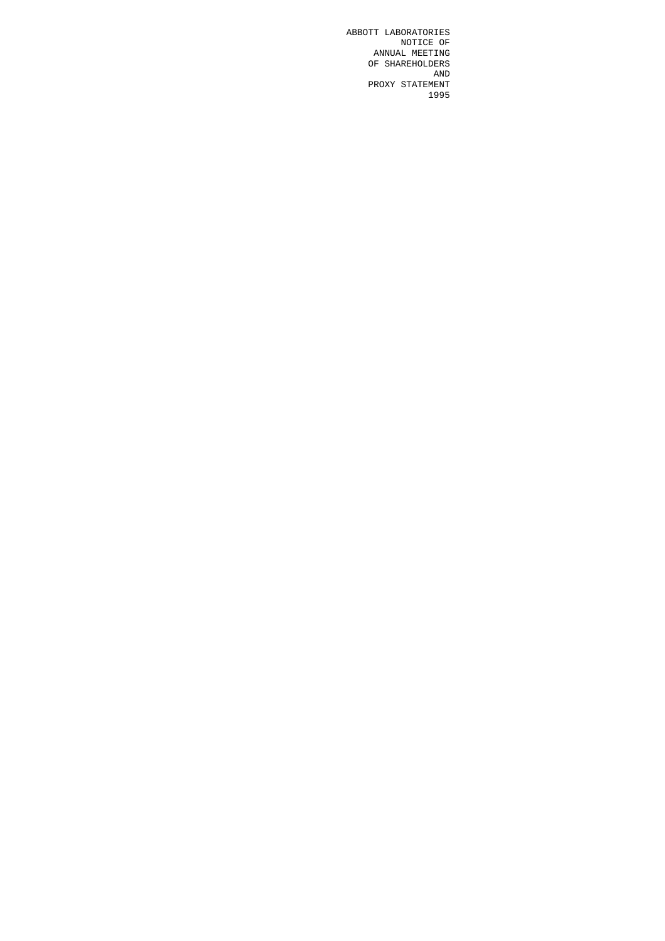ABBOTT LABORATORIES NOTICE OF ANNUAL MEETING OF SHAREHOLDERS AND **AND** PROXY STATEMENT<br>1995  $1995$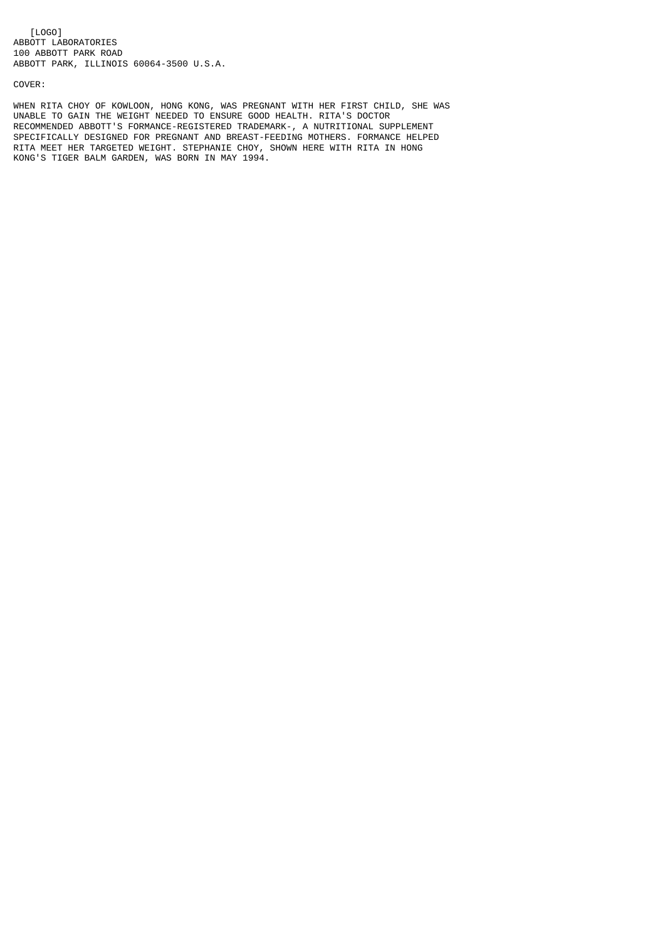[LOGO] ABBOTT LABORATORIES 100 ABBOTT PARK ROAD ABBOTT PARK, ILLINOIS 60064-3500 U.S.A.

COVER:

WHEN RITA CHOY OF KOWLOON, HONG KONG, WAS PREGNANT WITH HER FIRST CHILD, SHE WAS UNABLE TO GAIN THE WEIGHT NEEDED TO ENSURE GOOD HEALTH. RITA'S DOCTOR RECOMMENDED ABBOTT'S FORMANCE-REGISTERED TRADEMARK-, A NUTRITIONAL SUPPLEMENT SPECIFICALLY DESIGNED FOR PREGNANT AND BREAST-FEEDING MOTHERS. FORMANCE HELPED RITA MEET HER TARGETED WEIGHT. STEPHANIE CHOY, SHOWN HERE WITH RITA IN HONG KONG'S TIGER BALM GARDEN, WAS BORN IN MAY 1994.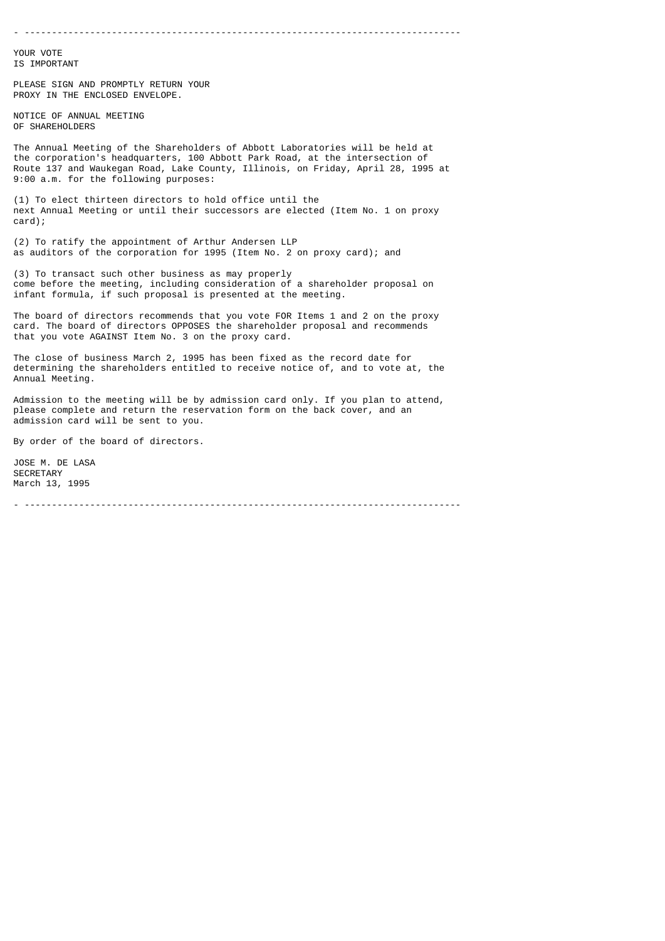YOUR VOTE IS IMPORTANT

PLEASE SIGN AND PROMPTLY RETURN YOUR PROXY IN THE ENCLOSED ENVELOPE.

NOTICE OF ANNUAL MEETING OF SHAREHOLDERS

The Annual Meeting of the Shareholders of Abbott Laboratories will be held at the corporation's headquarters, 100 Abbott Park Road, at the intersection of Route 137 and Waukegan Road, Lake County, Illinois, on Friday, April 28, 1995 at 9:00 a.m. for the following purposes:

(1) To elect thirteen directors to hold office until the next Annual Meeting or until their successors are elected (Item No. 1 on proxy card);

(2) To ratify the appointment of Arthur Andersen LLP as auditors of the corporation for 1995 (Item No. 2 on proxy card); and

(3) To transact such other business as may properly come before the meeting, including consideration of a shareholder proposal on infant formula, if such proposal is presented at the meeting.

The board of directors recommends that you vote FOR Items 1 and 2 on the proxy card. The board of directors OPPOSES the shareholder proposal and recommends that you vote AGAINST Item No. 3 on the proxy card.

The close of business March 2, 1995 has been fixed as the record date for determining the shareholders entitled to receive notice of, and to vote at, the Annual Meeting.

Admission to the meeting will be by admission card only. If you plan to attend, please complete and return the reservation form on the back cover, and an admission card will be sent to you.

By order of the board of directors.

JOSE M. DE LASA **SECRETARY** March 13, 1995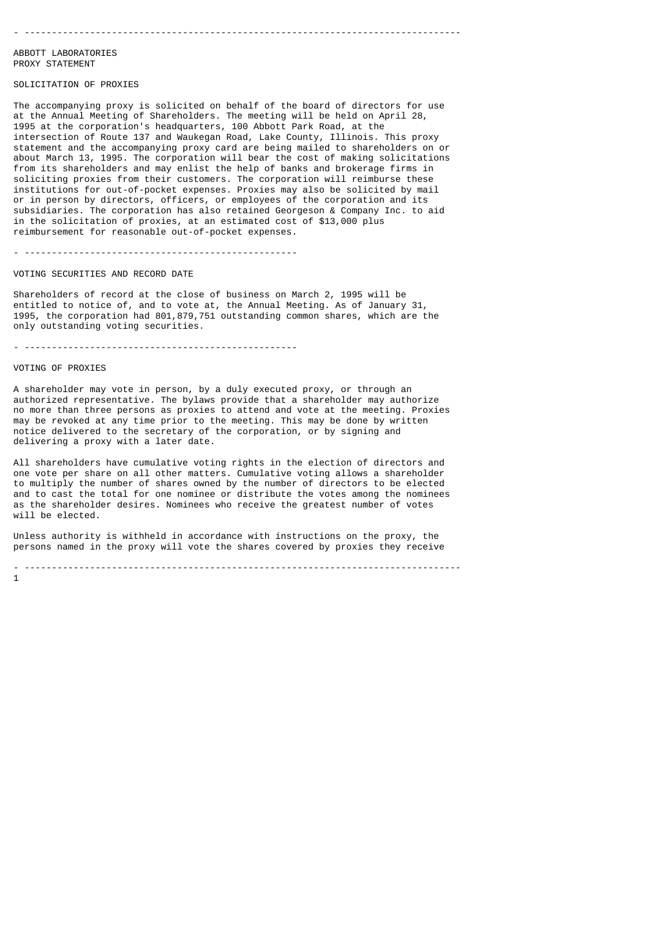ABBOTT LABORATORIES PROXY STATEMENT

## SOLICITATION OF PROXIES

The accompanying proxy is solicited on behalf of the board of directors for use at the Annual Meeting of Shareholders. The meeting will be held on April 28, 1995 at the corporation's headquarters, 100 Abbott Park Road, at the intersection of Route 137 and Waukegan Road, Lake County, Illinois. This proxy statement and the accompanying proxy card are being mailed to shareholders on or about March 13, 1995. The corporation will bear the cost of making solicitations from its shareholders and may enlist the help of banks and brokerage firms in soliciting proxies from their customers. The corporation will reimburse these institutions for out-of-pocket expenses. Proxies may also be solicited by mail or in person by directors, officers, or employees of the corporation and its subsidiaries. The corporation has also retained Georgeson & Company Inc. to aid in the solicitation of proxies, at an estimated cost of \$13,000 plus reimbursement for reasonable out-of-pocket expenses.

- --------------------------------------------------

## VOTING SECURITIES AND RECORD DATE

Shareholders of record at the close of business on March 2, 1995 will be entitled to notice of, and to vote at, the Annual Meeting. As of January 31, 1995, the corporation had 801,879,751 outstanding common shares, which are the only outstanding voting securities.

## - --------------------------------------------------

### VOTING OF PROXIES

A shareholder may vote in person, by a duly executed proxy, or through an authorized representative. The bylaws provide that a shareholder may authorize no more than three persons as proxies to attend and vote at the meeting. Proxies may be revoked at any time prior to the meeting. This may be done by written notice delivered to the secretary of the corporation, or by signing and delivering a proxy with a later date.

All shareholders have cumulative voting rights in the election of directors and one vote per share on all other matters. Cumulative voting allows a shareholder to multiply the number of shares owned by the number of directors to be elected and to cast the total for one nominee or distribute the votes among the nominees as the shareholder desires. Nominees who receive the greatest number of votes will be elected.

Unless authority is withheld in accordance with instructions on the proxy, the persons named in the proxy will vote the shares covered by proxies they receive

- --------------------------------------------------------------------------------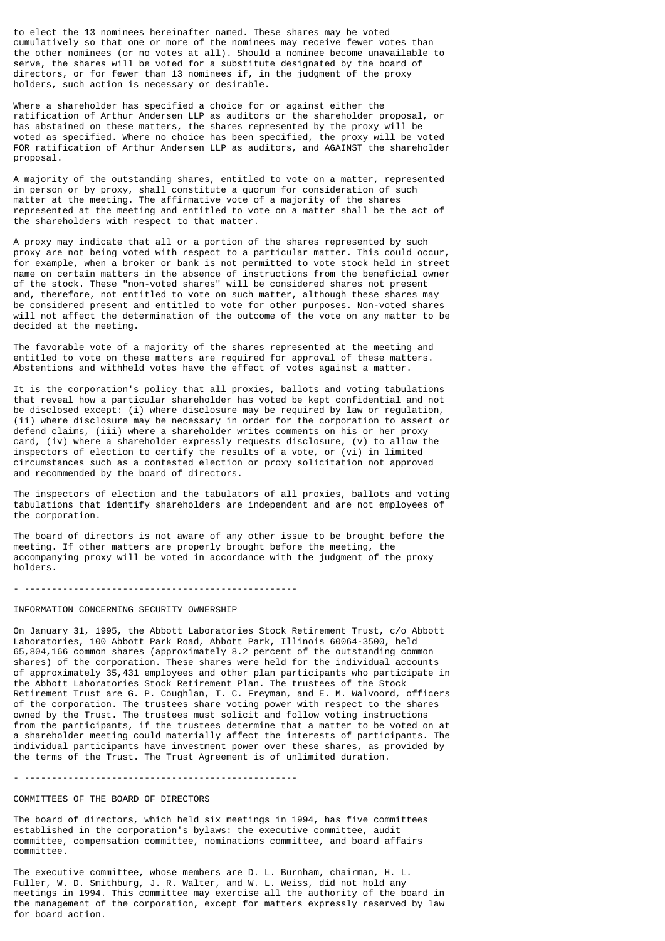to elect the 13 nominees hereinafter named. These shares may be voted cumulatively so that one or more of the nominees may receive fewer votes than the other nominees (or no votes at all). Should a nominee become unavailable to serve, the shares will be voted for a substitute designated by the board of directors, or for fewer than 13 nominees if, in the judgment of the proxy holders, such action is necessary or desirable.

Where a shareholder has specified a choice for or against either the ratification of Arthur Andersen LLP as auditors or the shareholder proposal, or has abstained on these matters, the shares represented by the proxy will be voted as specified. Where no choice has been specified, the proxy will be voted FOR ratification of Arthur Andersen LLP as auditors, and AGAINST the shareholder proposal.

A majority of the outstanding shares, entitled to vote on a matter, represented in person or by proxy, shall constitute a quorum for consideration of such matter at the meeting. The affirmative vote of a majority of the shares represented at the meeting and entitled to vote on a matter shall be the act of the shareholders with respect to that matter.

A proxy may indicate that all or a portion of the shares represented by such proxy are not being voted with respect to a particular matter. This could occur, for example, when a broker or bank is not permitted to vote stock held in street name on certain matters in the absence of instructions from the beneficial owner of the stock. These "non-voted shares" will be considered shares not present and, therefore, not entitled to vote on such matter, although these shares may be considered present and entitled to vote for other purposes. Non-voted shares will not affect the determination of the outcome of the vote on any matter to be decided at the meeting.

The favorable vote of a majority of the shares represented at the meeting and entitled to vote on these matters are required for approval of these matters. Abstentions and withheld votes have the effect of votes against a matter.

It is the corporation's policy that all proxies, ballots and voting tabulations that reveal how a particular shareholder has voted be kept confidential and not be disclosed except: (i) where disclosure may be required by law or regulation, (ii) where disclosure may be necessary in order for the corporation to assert or defend claims, (iii) where a shareholder writes comments on his or her proxy card, (iv) where a shareholder expressly requests disclosure, (v) to allow the inspectors of election to certify the results of a vote, or (vi) in limited circumstances such as a contested election or proxy solicitation not approved and recommended by the board of directors.

The inspectors of election and the tabulators of all proxies, ballots and voting tabulations that identify shareholders are independent and are not employees of the corporation.

The board of directors is not aware of any other issue to be brought before the meeting. If other matters are properly brought before the meeting, the accompanying proxy will be voted in accordance with the judgment of the proxy holders.

 $-$ 

## INFORMATION CONCERNING SECURITY OWNERSHIP

On January 31, 1995, the Abbott Laboratories Stock Retirement Trust, c/o Abbott Laboratories, 100 Abbott Park Road, Abbott Park, Illinois 60064-3500, held 65,804,166 common shares (approximately 8.2 percent of the outstanding common shares) of the corporation. These shares were held for the individual accounts of approximately 35,431 employees and other plan participants who participate in the Abbott Laboratories Stock Retirement Plan. The trustees of the Stock Retirement Trust are G. P. Coughlan, T. C. Freyman, and E. M. Walvoord, officers of the corporation. The trustees share voting power with respect to the shares owned by the Trust. The trustees must solicit and follow voting instructions from the participants, if the trustees determine that a matter to be voted on at a shareholder meeting could materially affect the interests of participants. The individual participants have investment power over these shares, as provided by the terms of the Trust. The Trust Agreement is of unlimited duration.

- --------------------------------------------------

COMMITTEES OF THE BOARD OF DIRECTORS

The board of directors, which held six meetings in 1994, has five committees established in the corporation's bylaws: the executive committee, audit committee, compensation committee, nominations committee, and board affairs committee.

The executive committee, whose members are D. L. Burnham, chairman, H. L. Fuller, W. D. Smithburg, J. R. Walter, and W. L. Weiss, did not hold any meetings in 1994. This committee may exercise all the authority of the board in the management of the corporation, except for matters expressly reserved by law for board action.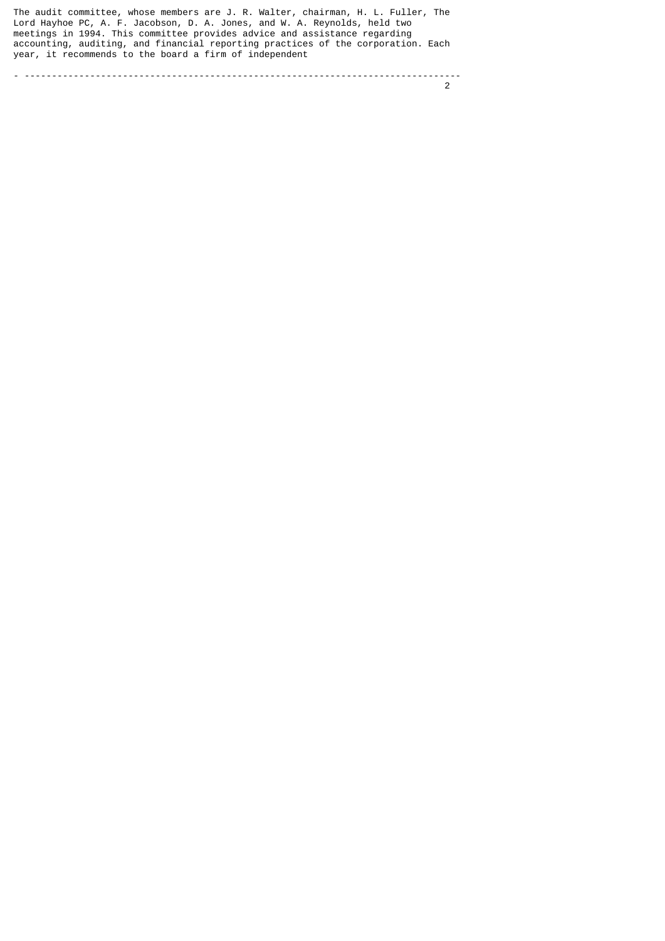The audit committee, whose members are J. R. Walter, chairman, H. L. Fuller, The Lord Hayhoe PC, A. F. Jacobson, D. A. Jones, and W. A. Reynolds, held two meetings in 1994. This committee provides advice and assistance regarding accounting, auditing, and financial reporting practices of the corporation. Each year, it recommends to the board a firm of independent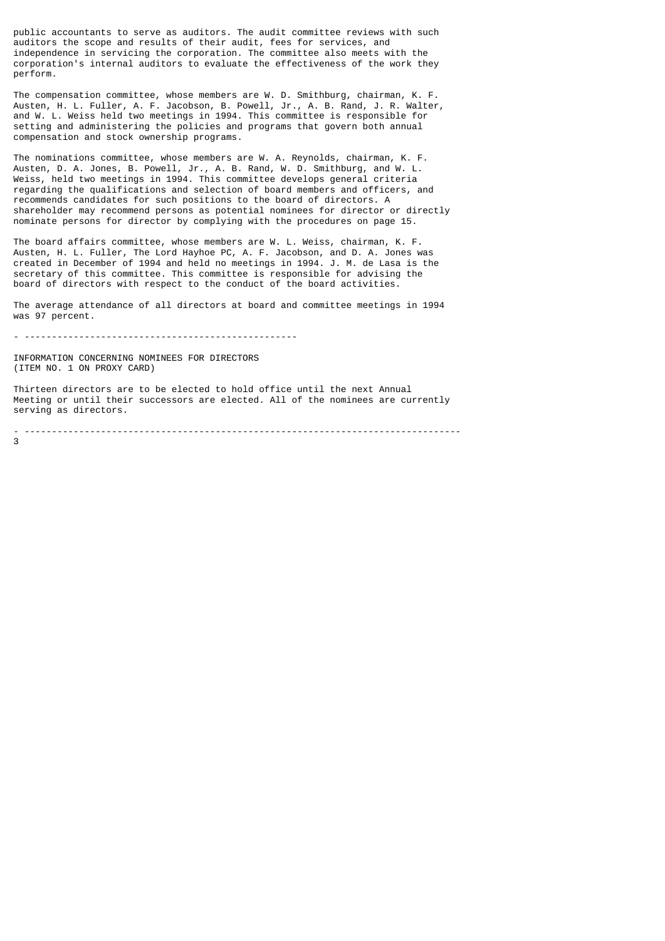public accountants to serve as auditors. The audit committee reviews with such auditors the scope and results of their audit, fees for services, and independence in servicing the corporation. The committee also meets with the corporation's internal auditors to evaluate the effectiveness of the work they perform.

The compensation committee, whose members are W. D. Smithburg, chairman, K. F. Austen, H. L. Fuller, A. F. Jacobson, B. Powell, Jr., A. B. Rand, J. R. Walter, and W. L. Weiss held two meetings in 1994. This committee is responsible for setting and administering the policies and programs that govern both annual compensation and stock ownership programs.

The nominations committee, whose members are W. A. Reynolds, chairman, K. F. Austen, D. A. Jones, B. Powell, Jr., A. B. Rand, W. D. Smithburg, and W. L. Weiss, held two meetings in 1994. This committee develops general criteria regarding the qualifications and selection of board members and officers, and recommends candidates for such positions to the board of directors. A shareholder may recommend persons as potential nominees for director or directly nominate persons for director by complying with the procedures on page 15.

The board affairs committee, whose members are W. L. Weiss, chairman, K. F. Austen, H. L. Fuller, The Lord Hayhoe PC, A. F. Jacobson, and D. A. Jones was created in December of 1994 and held no meetings in 1994. J. M. de Lasa is the secretary of this committee. This committee is responsible for advising the board of directors with respect to the conduct of the board activities.

The average attendance of all directors at board and committee meetings in 1994 was 97 percent.

- --------------------------------------------------

INFORMATION CONCERNING NOMINEES FOR DIRECTORS (ITEM NO. 1 ON PROXY CARD)

Thirteen directors are to be elected to hold office until the next Annual Meeting or until their successors are elected. All of the nominees are currently serving as directors.

- --------------------------------------------------------------------------------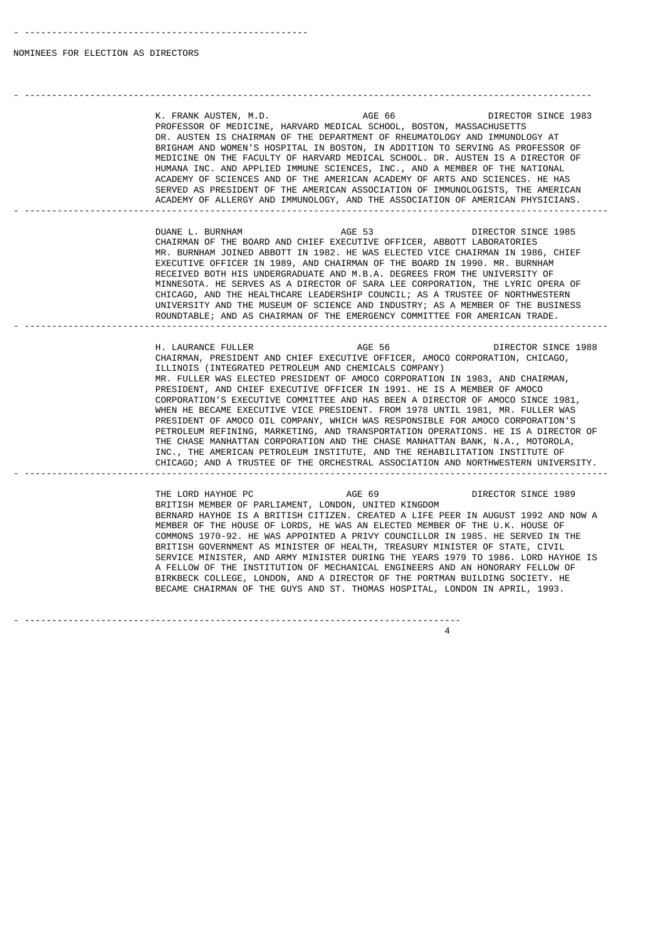- ----------------------------------------------------

| K. FRANK AUSTEN, M.D.<br>AGE 66<br>DIRECTOR SINCE 1983<br>PROFESSOR OF MEDICINE, HARVARD MEDICAL SCHOOL, BOSTON, MASSACHUSETTS<br>DR. AUSTEN IS CHAIRMAN OF THE DEPARTMENT OF RHEUMATOLOGY AND IMMUNOLOGY AT<br>BRIGHAM AND WOMEN'S HOSPITAL IN BOSTON, IN ADDITION TO SERVING AS PROFESSOR OF<br>MEDICINE ON THE FACULTY OF HARVARD MEDICAL SCHOOL. DR. AUSTEN IS A DIRECTOR OF<br>HUMANA INC. AND APPLIED IMMUNE SCIENCES, INC., AND A MEMBER OF THE NATIONAL<br>ACADEMY OF SCIENCES AND OF THE AMERICAN ACADEMY OF ARTS AND SCIENCES. HE HAS<br>SERVED AS PRESIDENT OF THE AMERICAN ASSOCIATION OF IMMUNOLOGISTS, THE AMERICAN<br>ACADEMY OF ALLERGY AND IMMUNOLOGY, AND THE ASSOCIATION OF AMERICAN PHYSICIANS.                                                                                                                                                                                                                                   |
|-------------------------------------------------------------------------------------------------------------------------------------------------------------------------------------------------------------------------------------------------------------------------------------------------------------------------------------------------------------------------------------------------------------------------------------------------------------------------------------------------------------------------------------------------------------------------------------------------------------------------------------------------------------------------------------------------------------------------------------------------------------------------------------------------------------------------------------------------------------------------------------------------------------------------------------------------------|
| DUANE L. BURNHAM<br>AGE 53<br>DIRECTOR SINCE 1985<br>CHAIRMAN OF THE BOARD AND CHIEF EXECUTIVE OFFICER, ABBOTT LABORATORIES<br>MR. BURNHAM JOINED ABBOTT IN 1982. HE WAS ELECTED VICE CHAIRMAN IN 1986, CHIEF<br>EXECUTIVE OFFICER IN 1989, AND CHAIRMAN OF THE BOARD IN 1990. MR. BURNHAM<br>RECEIVED BOTH HIS UNDERGRADUATE AND M.B.A. DEGREES FROM THE UNIVERSITY OF<br>MINNESOTA. HE SERVES AS A DIRECTOR OF SARA LEE CORPORATION, THE LYRIC OPERA OF<br>CHICAGO, AND THE HEALTHCARE LEADERSHIP COUNCIL; AS A TRUSTEE OF NORTHWESTERN<br>UNIVERSITY AND THE MUSEUM OF SCIENCE AND INDUSTRY; AS A MEMBER OF THE BUSINESS<br>ROUNDTABLE; AND AS CHAIRMAN OF THE EMERGENCY COMMITTEE FOR AMERICAN TRADE.                                                                                                                                                                                                                                             |
| H. LAURANCE FULLER<br>AGE 56<br>DIRECTOR SINCE 1988<br>CHAIRMAN, PRESIDENT AND CHIEF EXECUTIVE OFFICER, AMOCO CORPORATION, CHICAGO,<br>ILLINOIS (INTEGRATED PETROLEUM AND CHEMICALS COMPANY)<br>MR. FULLER WAS ELECTED PRESIDENT OF AMOCO CORPORATION IN 1983, AND CHAIRMAN,<br>PRESIDENT, AND CHIEF EXECUTIVE OFFICER IN 1991. HE IS A MEMBER OF AMOCO<br>CORPORATION'S EXECUTIVE COMMITTEE AND HAS BEEN A DIRECTOR OF AMOCO SINCE 1981,<br>WHEN HE BECAME EXECUTIVE VICE PRESIDENT. FROM 1978 UNTIL 1981, MR. FULLER WAS<br>PRESIDENT OF AMOCO OIL COMPANY, WHICH WAS RESPONSIBLE FOR AMOCO CORPORATION'S<br>PETROLEUM REFINING, MARKETING, AND TRANSPORTATION OPERATIONS. HE IS A DIRECTOR OF<br>THE CHASE MANHATTAN CORPORATION AND THE CHASE MANHATTAN BANK, N.A., MOTOROLA,<br>INC., THE AMERICAN PETROLEUM INSTITUTE, AND THE REHABILITATION INSTITUTE OF<br>CHICAGO; AND A TRUSTEE OF THE ORCHESTRAL ASSOCIATION AND NORTHWESTERN UNIVERSITY. |
| AGE 69<br>THE LORD HAYHOE PC<br>DIRECTOR SINCE 1989<br>BRITISH MEMBER OF PARLIAMENT, LONDON, UNITED KINGDOM<br>BERNARD HAYHOE IS A BRITISH CITIZEN. CREATED A LIFE PEER IN AUGUST 1992 AND NOW A<br>MEMBER OF THE HOUSE OF LORDS, HE WAS AN ELECTED MEMBER OF THE U.K. HOUSE OF<br>COMMONS 1970-92. HE WAS APPOINTED A PRIVY COUNCILLOR IN 1985. HE SERVED IN THE<br>BRITISH GOVERNMENT AS MINISTER OF HEALTH, TREASURY MINISTER OF STATE, CIVIL<br>SERVICE MINISTER, AND ARMY MINISTER DURING THE YEARS 1979 TO 1986. LORD HAYHOE IS<br>A FELLOW OF THE INSTITUTION OF MECHANICAL ENGINEERS AND AN HONORARY FELLOW OF<br>BIRKBECK COLLEGE, LONDON, AND A DIRECTOR OF THE PORTMAN BUILDING SOCIETY. HE<br>BECAME CHAIRMAN OF THE GUYS AND ST. THOMAS HOSPITAL, LONDON IN APRIL, 1993.                                                                                                                                                                 |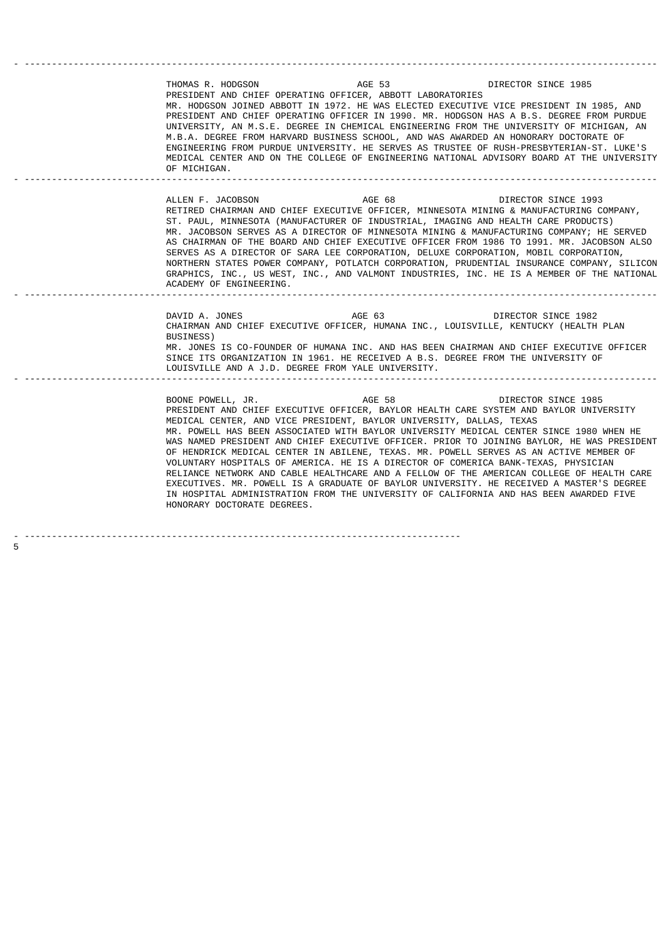|   | THOMAS R. HODGSON<br>AGE 53<br>DIRECTOR SINCE 1985<br>PRESIDENT AND CHIEF OPERATING OFFICER, ABBOTT LABORATORIES<br>MR. HODGSON JOINED ABBOTT IN 1972. HE WAS ELECTED EXECUTIVE VICE PRESIDENT IN 1985, AND<br>PRESIDENT AND CHIEF OPERATING OFFICER IN 1990. MR. HODGSON HAS A B.S. DEGREE FROM PURDUE<br>UNIVERSITY, AN M.S.E. DEGREE IN CHEMICAL ENGINEERING FROM THE UNIVERSITY OF MICHIGAN, AN<br>M.B.A. DEGREE FROM HARVARD BUSINESS SCHOOL, AND WAS AWARDED AN HONORARY DOCTORATE OF<br>ENGINEERING FROM PURDUE UNIVERSITY. HE SERVES AS TRUSTEE OF RUSH-PRESBYTERIAN-ST. LUKE'S<br>MEDICAL CENTER AND ON THE COLLEGE OF ENGINEERING NATIONAL ADVISORY BOARD AT THE UNIVERSITY<br>OF MICHIGAN.                                                                                                                                                                                                           |
|---|-----------------------------------------------------------------------------------------------------------------------------------------------------------------------------------------------------------------------------------------------------------------------------------------------------------------------------------------------------------------------------------------------------------------------------------------------------------------------------------------------------------------------------------------------------------------------------------------------------------------------------------------------------------------------------------------------------------------------------------------------------------------------------------------------------------------------------------------------------------------------------------------------------------------|
|   | ALLEN F. JACOBSON<br>AGE 68<br>DIRECTOR SINCE 1993<br>RETIRED CHAIRMAN AND CHIEF EXECUTIVE OFFICER, MINNESOTA MINING & MANUFACTURING COMPANY,<br>ST. PAUL, MINNESOTA (MANUFACTURER OF INDUSTRIAL, IMAGING AND HEALTH CARE PRODUCTS)<br>MR. JACOBSON SERVES AS A DIRECTOR OF MINNESOTA MINING & MANUFACTURING COMPANY; HE SERVED<br>AS CHAIRMAN OF THE BOARD AND CHIEF EXECUTIVE OFFICER FROM 1986 TO 1991. MR. JACOBSON ALSO<br>SERVES AS A DIRECTOR OF SARA LEE CORPORATION, DELUXE CORPORATION, MOBIL CORPORATION,<br>NORTHERN STATES POWER COMPANY, POTLATCH CORPORATION, PRUDENTIAL INSURANCE COMPANY, SILICON<br>GRAPHICS, INC., US WEST, INC., AND VALMONT INDUSTRIES, INC. HE IS A MEMBER OF THE NATIONAL<br>ACADEMY OF ENGINEERING.                                                                                                                                                                     |
|   | AGE 63 and the state of the state of the state of the state of the state of the state of the state of the state of the state of the state of the state of the state of the state of the state of the state of the state of the<br>DAVID A. JONES<br>DIRECTOR SINCE 1982<br>CHAIRMAN AND CHIEF EXECUTIVE OFFICER, HUMANA INC., LOUISVILLE, KENTUCKY (HEALTH PLAN<br>BUSINESS)<br>MR. JONES IS CO-FOUNDER OF HUMANA INC. AND HAS BEEN CHAIRMAN AND CHIEF EXECUTIVE OFFICER<br>SINCE ITS ORGANIZATION IN 1961. HE RECEIVED A B.S. DEGREE FROM THE UNIVERSITY OF<br>LOUISVILLE AND A J.D. DEGREE FROM YALE UNIVERSITY.                                                                                                                                                                                                                                                                                              |
|   | AGE 58<br>BOONE POWELL, JR.<br>DIRECTOR SINCE 1985<br>PRESIDENT AND CHIEF EXECUTIVE OFFICER, BAYLOR HEALTH CARE SYSTEM AND BAYLOR UNIVERSITY<br>MEDICAL CENTER, AND VICE PRESIDENT, BAYLOR UNIVERSITY, DALLAS, TEXAS<br>MR. POWELL HAS BEEN ASSOCIATED WITH BAYLOR UNIVERSITY MEDICAL CENTER SINCE 1980 WHEN HE<br>WAS NAMED PRESIDENT AND CHIEF EXECUTIVE OFFICER. PRIOR TO JOINING BAYLOR, HE WAS PRESIDENT<br>OF HENDRICK MEDICAL CENTER IN ABILENE, TEXAS. MR. POWELL SERVES AS AN ACTIVE MEMBER OF<br>VOLUNTARY HOSPITALS OF AMERICA. HE IS A DIRECTOR OF COMERICA BANK-TEXAS, PHYSICIAN<br>RELIANCE NETWORK AND CABLE HEALTHCARE AND A FELLOW OF THE AMERICAN COLLEGE OF HEALTH CARE<br>EXECUTIVES. MR. POWELL IS A GRADUATE OF BAYLOR UNIVERSITY. HE RECEIVED A MASTER'S DEGREE<br>IN HOSPITAL ADMINISTRATION FROM THE UNIVERSITY OF CALIFORNIA AND HAS BEEN AWARDED FIVE<br>HONORARY DOCTORATE DEGREES. |
| 5 |                                                                                                                                                                                                                                                                                                                                                                                                                                                                                                                                                                                                                                                                                                                                                                                                                                                                                                                 |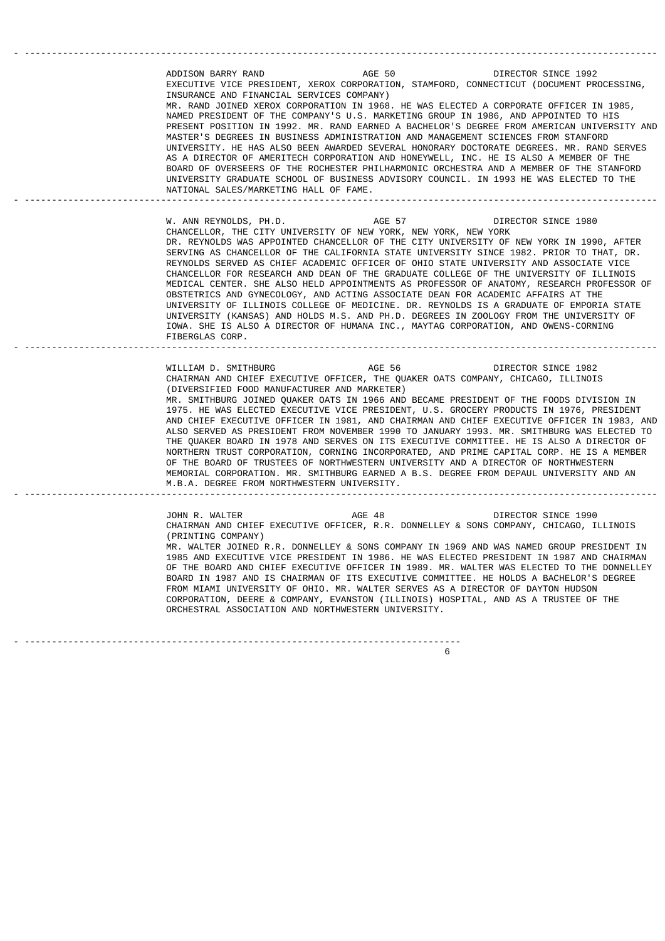| AGE 50<br>ADDISON BARRY RAND<br>DIRECTOR SINCE 1992<br>EXECUTIVE VICE PRESIDENT, XEROX CORPORATION, STAMFORD, CONNECTICUT (DOCUMENT PROCESSING,<br>INSURANCE AND FINANCIAL SERVICES COMPANY)<br>MR. RAND JOINED XEROX CORPORATION IN 1968. HE WAS ELECTED A CORPORATE OFFICER IN 1985,<br>NAMED PRESIDENT OF THE COMPANY'S U.S. MARKETING GROUP IN 1986, AND APPOINTED TO HIS<br>PRESENT POSITION IN 1992. MR. RAND EARNED A BACHELOR'S DEGREE FROM AMERICAN UNIVERSITY AND<br>MASTER'S DEGREES IN BUSINESS ADMINISTRATION AND MANAGEMENT SCIENCES FROM STANFORD<br>UNIVERSITY. HE HAS ALSO BEEN AWARDED SEVERAL HONORARY DOCTORATE DEGREES. MR. RAND SERVES<br>AS A DIRECTOR OF AMERITECH CORPORATION AND HONEYWELL, INC. HE IS ALSO A MEMBER OF THE<br>BOARD OF OVERSEERS OF THE ROCHESTER PHILHARMONIC ORCHESTRA AND A MEMBER OF THE STANFORD<br>UNIVERSITY GRADUATE SCHOOL OF BUSINESS ADVISORY COUNCIL. IN 1993 HE WAS ELECTED TO THE<br>NATIONAL SALES/MARKETING HALL OF FAME.                 |
|------------------------------------------------------------------------------------------------------------------------------------------------------------------------------------------------------------------------------------------------------------------------------------------------------------------------------------------------------------------------------------------------------------------------------------------------------------------------------------------------------------------------------------------------------------------------------------------------------------------------------------------------------------------------------------------------------------------------------------------------------------------------------------------------------------------------------------------------------------------------------------------------------------------------------------------------------------------------------------------------------|
| AGE 57 DIRECTOR SINCE 1980<br>W. ANN REYNOLDS, PH.D.<br>CHANCELLOR, THE CITY UNIVERSITY OF NEW YORK, NEW YORK, NEW YORK<br>DR. REYNOLDS WAS APPOINTED CHANCELLOR OF THE CITY UNIVERSITY OF NEW YORK IN 1990, AFTER<br>SERVING AS CHANCELLOR OF THE CALIFORNIA STATE UNIVERSITY SINCE 1982. PRIOR TO THAT, DR.<br>REYNOLDS SERVED AS CHIEF ACADEMIC OFFICER OF OHIO STATE UNIVERSITY AND ASSOCIATE VICE<br>CHANCELLOR FOR RESEARCH AND DEAN OF THE GRADUATE COLLEGE OF THE UNIVERSITY OF ILLINOIS<br>MEDICAL CENTER. SHE ALSO HELD APPOINTMENTS AS PROFESSOR OF ANATOMY, RESEARCH PROFESSOR OF<br>OBSTETRICS AND GYNECOLOGY, AND ACTING ASSOCIATE DEAN FOR ACADEMIC AFFAIRS AT THE<br>UNIVERSITY OF ILLINOIS COLLEGE OF MEDICINE. DR. REYNOLDS IS A GRADUATE OF EMPORIA STATE<br>UNIVERSITY (KANSAS) AND HOLDS M.S. AND PH.D. DEGREES IN ZOOLOGY FROM THE UNIVERSITY OF<br>IOWA. SHE IS ALSO A DIRECTOR OF HUMANA INC., MAYTAG CORPORATION, AND OWENS-CORNING<br>FIBERGLAS CORP.                      |
| WILLIAM D. SMITHBURG 66 AGE 56 AGE 56 DIRECTOR SINCE 1982<br>CHAIRMAN AND CHIEF EXECUTIVE OFFICER, THE QUAKER OATS COMPANY, CHICAGO, ILLINOIS<br>(DIVERSIFIED FOOD MANUFACTURER AND MARKETER)<br>MR. SMITHBURG JOINED QUAKER OATS IN 1966 AND BECAME PRESIDENT OF THE FOODS DIVISION IN<br>1975. HE WAS ELECTED EXECUTIVE VICE PRESIDENT, U.S. GROCERY PRODUCTS IN 1976, PRESIDENT<br>AND CHIEF EXECUTIVE OFFICER IN 1981, AND CHAIRMAN AND CHIEF EXECUTIVE OFFICER IN 1983, AND<br>ALSO SERVED AS PRESIDENT FROM NOVEMBER 1990 TO JANUARY 1993. MR. SMITHBURG WAS ELECTED TO<br>THE QUAKER BOARD IN 1978 AND SERVES ON ITS EXECUTIVE COMMITTEE. HE IS ALSO A DIRECTOR OF<br>NORTHERN TRUST CORPORATION, CORNING INCORPORATED, AND PRIME CAPITAL CORP. HE IS A MEMBER<br>OF THE BOARD OF TRUSTEES OF NORTHWESTERN UNIVERSITY AND A DIRECTOR OF NORTHWESTERN<br>MEMORIAL CORPORATION. MR. SMITHBURG EARNED A B.S. DEGREE FROM DEPAUL UNIVERSITY AND AN<br>M.B.A. DEGREE FROM NORTHWESTERN UNIVERSITY. |
| JOHN R. WALTER AGE 48<br>DIRECTOR SINCE 1990<br>CHAIRMAN AND CHIEF EXECUTIVE OFFICER, R.R. DONNELLEY & SONS COMPANY, CHICAGO, ILLINOIS<br>(PRINTING COMPANY)<br>MR. WALTER JOINED R.R. DONNELLEY & SONS COMPANY IN 1969 AND WAS NAMED GROUP PRESIDENT IN<br>1985 AND EXECUTIVE VICE PRESIDENT IN 1986. HE WAS ELECTED PRESIDENT IN 1987 AND CHAIRMAN<br>OF THE BOARD AND CHIEF EXECUTIVE OFFICER IN 1989. MR. WALTER WAS ELECTED TO THE DONNELLEY<br>BOARD IN 1987 AND IS CHAIRMAN OF ITS EXECUTIVE COMMITTEE. HE HOLDS A BACHELOR'S DEGREE<br>FROM MIAMI UNIVERSITY OF OHIO. MR. WALTER SERVES AS A DIRECTOR OF DAYTON HUDSON<br>CORPORATION, DEERE & COMPANY, EVANSTON (ILLINOIS) HOSPITAL, AND AS A TRUSTEE OF THE<br>ORCHESTRAL ASSOCIATION AND NORTHWESTERN UNIVERSITY.                                                                                                                                                                                                                         |
|                                                                                                                                                                                                                                                                                                                                                                                                                                                                                                                                                                                                                                                                                                                                                                                                                                                                                                                                                                                                      |

<u>6. In the set of the set of the set of the set of the set of the set of the set of the set of the set of the set of the set of the set of the set of the set of the set of the set of the set of the set of the set of the se</u>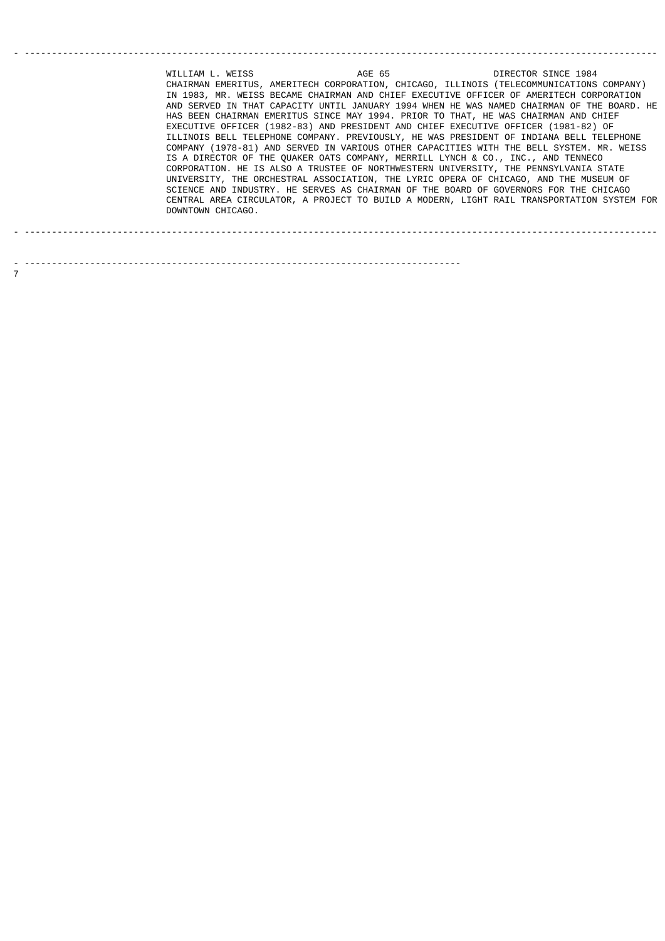| WILLIAM L. WEISS<br>HAS BEEN CHAIRMAN EMERITUS SINCE MAY 1994. PRIOR TO THAT, HE WAS CHAIRMAN AND CHIEF<br>EXECUTIVE OFFICER (1982-83) AND PRESIDENT AND CHIEF EXECUTIVE OFFICER (1981-82) OF<br>IS A DIRECTOR OF THE QUAKER OATS COMPANY, MERRILL LYNCH & CO., INC., AND TENNECO<br>CORPORATION. HE IS ALSO A TRUSTEE OF NORTHWESTERN UNIVERSITY, THE PENNSYLVANIA STATE<br>UNIVERSITY, THE ORCHESTRAL ASSOCIATION, THE LYRIC OPERA OF CHICAGO, AND THE MUSEUM OF<br>SCIENCE AND INDUSTRY, HE SERVES AS CHAIRMAN OF THE BOARD OF GOVERNORS FOR THE CHICAGO<br>DOWNTOWN CHICAGO. | AGE 65 | DIRECTOR SINCE 1984<br>CHAIRMAN EMERITUS, AMERITECH CORPORATION, CHICAGO, ILLINOIS (TELECOMMUNICATIONS COMPANY)<br>IN 1983, MR. WEISS BECAME CHAIRMAN AND CHIEF EXECUTIVE OFFICER OF AMERITECH CORPORATION<br>AND SERVED IN THAT CAPACITY UNTIL JANUARY 1994 WHEN HE WAS NAMED CHAIRMAN OF THE BOARD. HE<br>ILLINOIS BELL TELEPHONE COMPANY. PREVIOUSLY, HE WAS PRESIDENT OF INDIANA BELL TELEPHONE<br>COMPANY (1978-81) AND SERVED IN VARIOUS OTHER CAPACITIES WITH THE BELL SYSTEM. MR. WEISS<br>CENTRAL AREA CIRCULATOR, A PROJECT TO BUILD A MODERN, LIGHT RAIL TRANSPORTATION SYSTEM FOR |
|----------------------------------------------------------------------------------------------------------------------------------------------------------------------------------------------------------------------------------------------------------------------------------------------------------------------------------------------------------------------------------------------------------------------------------------------------------------------------------------------------------------------------------------------------------------------------------|--------|-----------------------------------------------------------------------------------------------------------------------------------------------------------------------------------------------------------------------------------------------------------------------------------------------------------------------------------------------------------------------------------------------------------------------------------------------------------------------------------------------------------------------------------------------------------------------------------------------|
|                                                                                                                                                                                                                                                                                                                                                                                                                                                                                                                                                                                  |        |                                                                                                                                                                                                                                                                                                                                                                                                                                                                                                                                                                                               |
|                                                                                                                                                                                                                                                                                                                                                                                                                                                                                                                                                                                  |        |                                                                                                                                                                                                                                                                                                                                                                                                                                                                                                                                                                                               |

 $\frac{1}{7}$ 

- --------------------------------------------------------------------------------------------------------------------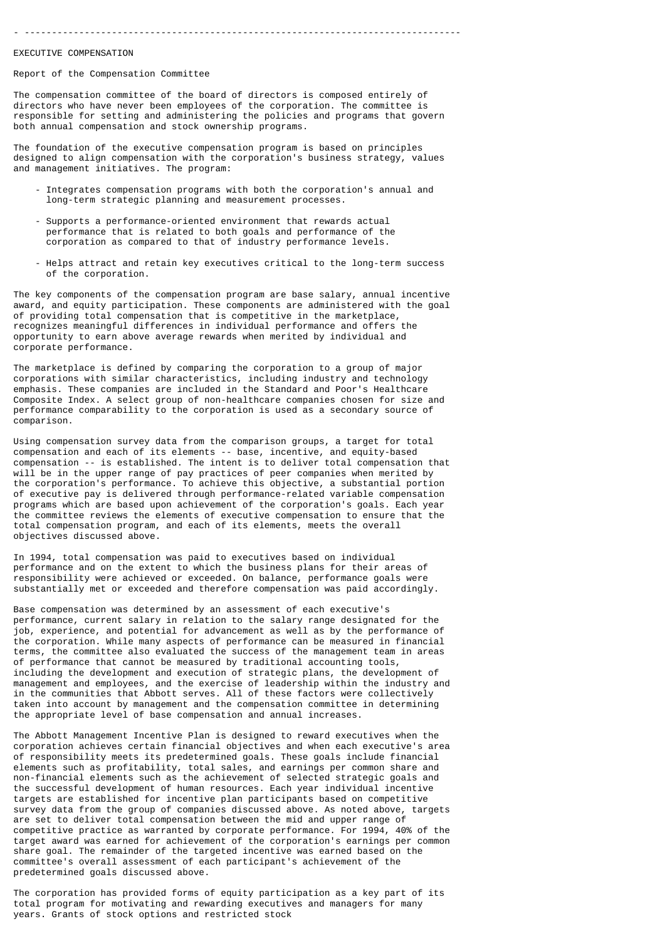### EXECUTIVE COMPENSATION

### Report of the Compensation Committee

The compensation committee of the board of directors is composed entirely of directors who have never been employees of the corporation. The committee is responsible for setting and administering the policies and programs that govern both annual compensation and stock ownership programs.

The foundation of the executive compensation program is based on principles designed to align compensation with the corporation's business strategy, values and management initiatives. The program:

- Integrates compensation programs with both the corporation's annual and long-term strategic planning and measurement processes.
- Supports a performance-oriented environment that rewards actual performance that is related to both goals and performance of the corporation as compared to that of industry performance levels.
- Helps attract and retain key executives critical to the long-term success of the corporation.

The key components of the compensation program are base salary, annual incentive award, and equity participation. These components are administered with the goal of providing total compensation that is competitive in the marketplace, recognizes meaningful differences in individual performance and offers the opportunity to earn above average rewards when merited by individual and corporate performance.

The marketplace is defined by comparing the corporation to a group of major corporations with similar characteristics, including industry and technology emphasis. These companies are included in the Standard and Poor's Healthcare Composite Index. A select group of non-healthcare companies chosen for size and performance comparability to the corporation is used as a secondary source of comparison.

Using compensation survey data from the comparison groups, a target for total compensation and each of its elements -- base, incentive, and equity-based compensation -- is established. The intent is to deliver total compensation that will be in the upper range of pay practices of peer companies when merited by the corporation's performance. To achieve this objective, a substantial portion of executive pay is delivered through performance-related variable compensation programs which are based upon achievement of the corporation's goals. Each year the committee reviews the elements of executive compensation to ensure that the total compensation program, and each of its elements, meets the overall objectives discussed above.

In 1994, total compensation was paid to executives based on individual performance and on the extent to which the business plans for their areas of responsibility were achieved or exceeded. On balance, performance goals were substantially met or exceeded and therefore compensation was paid accordingly.

Base compensation was determined by an assessment of each executive's performance, current salary in relation to the salary range designated for the job, experience, and potential for advancement as well as by the performance of the corporation. While many aspects of performance can be measured in financial terms, the committee also evaluated the success of the management team in areas of performance that cannot be measured by traditional accounting tools, including the development and execution of strategic plans, the development of management and employees, and the exercise of leadership within the industry and in the communities that Abbott serves. All of these factors were collectively taken into account by management and the compensation committee in determining the appropriate level of base compensation and annual increases.

The Abbott Management Incentive Plan is designed to reward executives when the corporation achieves certain financial objectives and when each executive's area of responsibility meets its predetermined goals. These goals include financial elements such as profitability, total sales, and earnings per common share and non-financial elements such as the achievement of selected strategic goals and the successful development of human resources. Each year individual incentive targets are established for incentive plan participants based on competitive survey data from the group of companies discussed above. As noted above, targets are set to deliver total compensation between the mid and upper range of competitive practice as warranted by corporate performance. For 1994, 40% of the target award was earned for achievement of the corporation's earnings per common share goal. The remainder of the targeted incentive was earned based on the committee's overall assessment of each participant's achievement of the predetermined goals discussed above.

The corporation has provided forms of equity participation as a key part of its total program for motivating and rewarding executives and managers for many years. Grants of stock options and restricted stock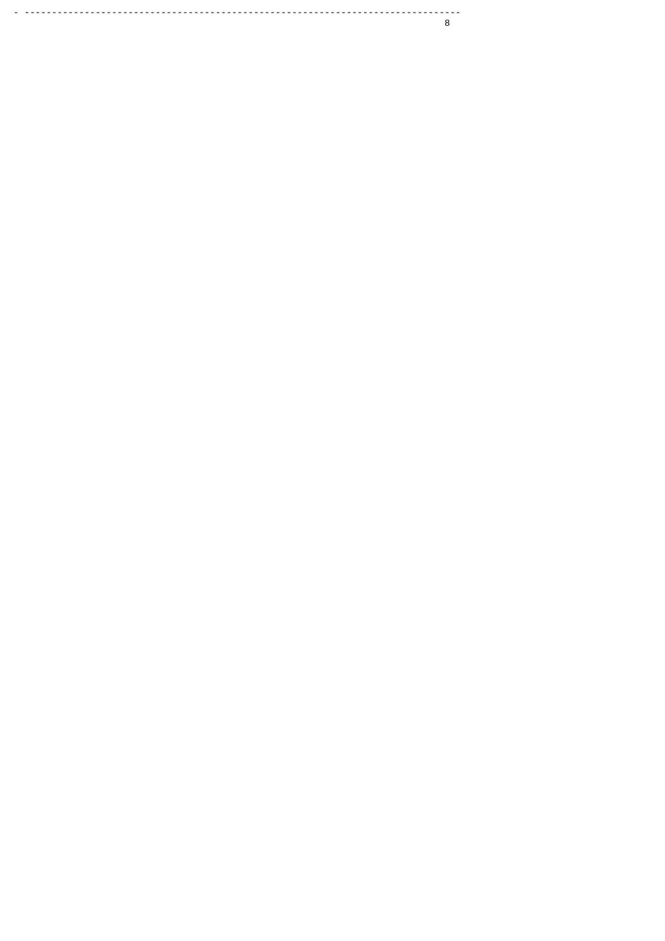$\begin{array}{c} \text{---} \\ \text{---} \\ \text{---} \\ \text{---} \\ \text{---} \end{array}$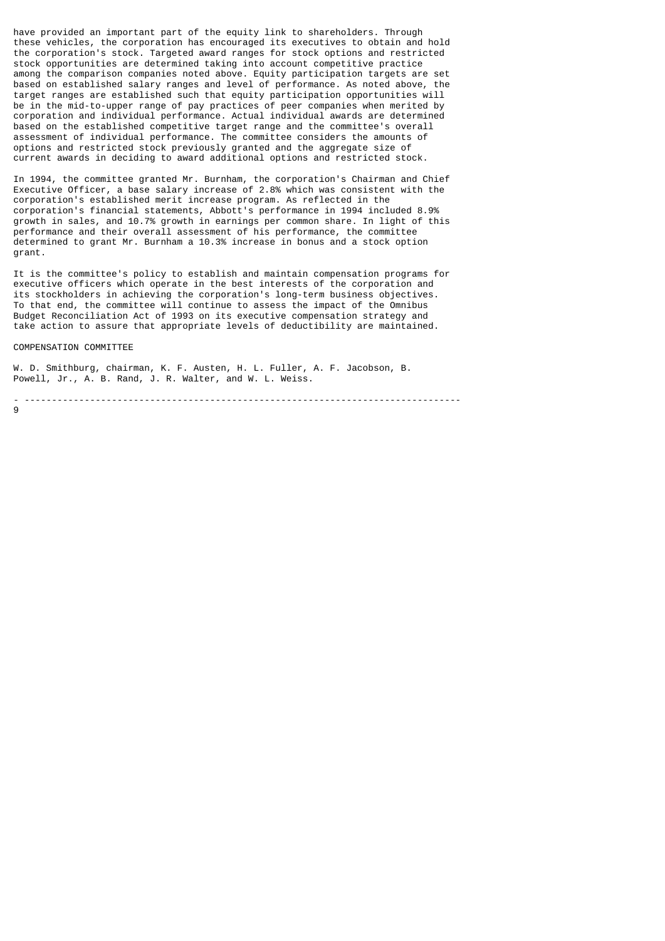have provided an important part of the equity link to shareholders. Through these vehicles, the corporation has encouraged its executives to obtain and hold the corporation's stock. Targeted award ranges for stock options and restricted stock opportunities are determined taking into account competitive practice among the comparison companies noted above. Equity participation targets are set based on established salary ranges and level of performance. As noted above, the target ranges are established such that equity participation opportunities will be in the mid-to-upper range of pay practices of peer companies when merited by corporation and individual performance. Actual individual awards are determined based on the established competitive target range and the committee's overall assessment of individual performance. The committee considers the amounts of options and restricted stock previously granted and the aggregate size of current awards in deciding to award additional options and restricted stock.

In 1994, the committee granted Mr. Burnham, the corporation's Chairman and Chief Executive Officer, a base salary increase of 2.8% which was consistent with the corporation's established merit increase program. As reflected in the corporation's financial statements, Abbott's performance in 1994 included 8.9% growth in sales, and 10.7% growth in earnings per common share. In light of this performance and their overall assessment of his performance, the committee determined to grant Mr. Burnham a 10.3% increase in bonus and a stock option grant.

It is the committee's policy to establish and maintain compensation programs for executive officers which operate in the best interests of the corporation and its stockholders in achieving the corporation's long-term business objectives. To that end, the committee will continue to assess the impact of the Omnibus Budget Reconciliation Act of 1993 on its executive compensation strategy and take action to assure that appropriate levels of deductibility are maintained.

### COMPENSATION COMMITTEE

W. D. Smithburg, chairman, K. F. Austen, H. L. Fuller, A. F. Jacobson, B. Powell, Jr., A. B. Rand, J. R. Walter, and W. L. Weiss.

- --------------------------------------------------------------------------------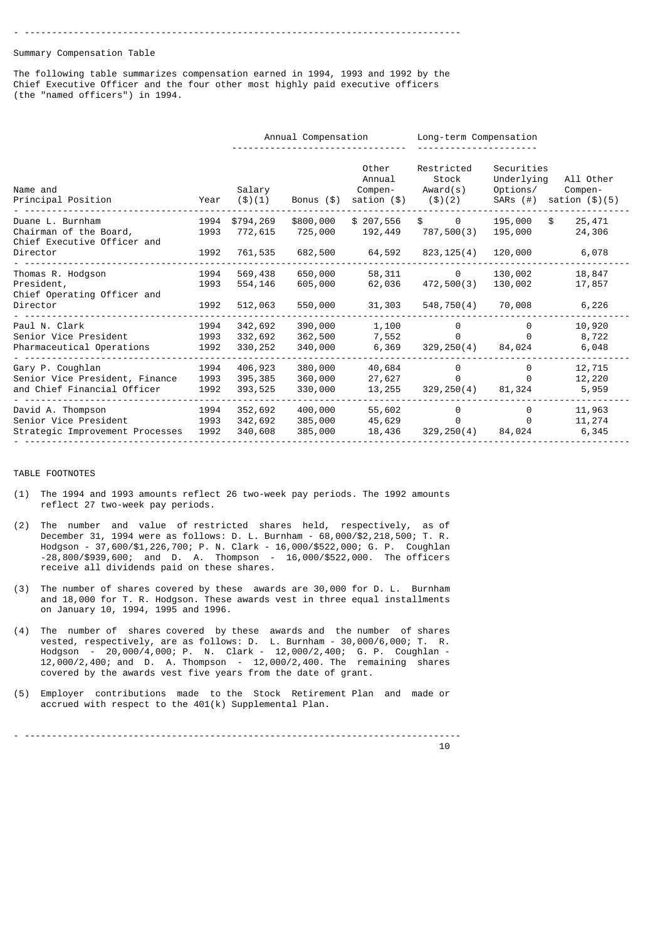## Summary Compensation Table

The following table summarizes compensation earned in 1994, 1993 and 1992 by the Chief Executive Officer and the four other most highly paid executive officers (the "named officers") in 1994.

|                                                                                       |                      |                                 | Annual Compensation             |                                             | Long-term Compensation                       |                                                        |                                          |
|---------------------------------------------------------------------------------------|----------------------|---------------------------------|---------------------------------|---------------------------------------------|----------------------------------------------|--------------------------------------------------------|------------------------------------------|
| Name and<br>Principal Position                                                        | Year                 | Salary<br>( \$)(1)              | Bonus $(\$)$                    | Other<br>Annual<br>Compen-<br>sation $(\$)$ | Restricted<br>Stock<br>Award(s)<br>( \$)(2)  | Securities<br>Underlying<br>Options/<br>SARS $($ # $)$ | All Other<br>Compen-<br>sation $(\$)(5)$ |
| Duane L. Burnham<br>Chairman of the Board,<br>Chief Executive Officer and<br>Director | 1994<br>1993<br>1992 | \$794,269<br>772,615<br>761,535 | \$800,000<br>725,000<br>682,500 | \$207,556<br>192,449<br>64,592              | \$<br>$\Theta$<br>787,500(3)<br>823, 125 (4) | 195,000<br>195,000<br>120,000                          | 25,471<br>\$<br>24,306<br>6,078          |
| Thomas R. Hodgson<br>President,<br>Chief Operating Officer and<br>Director            | 1994<br>1993<br>1992 | 569,438<br>554,146<br>512,063   | 650,000<br>605,000<br>550,000   | 58,311<br>62,036<br>31,303                  | 0<br>472,500(3)<br>548,750(4)                | 130,002<br>130,002<br>70,008                           | 18,847<br>17,857<br>6,226                |
| Paul N. Clark<br>Senior Vice President<br>Pharmaceutical Operations                   | 1994<br>1993<br>1992 | 342,692<br>332,692<br>330, 252  | 390,000<br>362,500<br>340,000   | 1,100<br>7,552<br>6,369                     | 0<br>0<br>329, 250(4)                        | 0<br>0<br>84,024                                       | 10,920<br>8,722<br>6,048                 |
| Gary P. Coughlan<br>Senior Vice President, Finance<br>and Chief Financial Officer     | 1994<br>1993<br>1992 | 406,923<br>395, 385<br>393,525  | 380,000<br>360,000<br>330,000   | 40,684<br>27,627<br>13,255                  | 0<br>0<br>329, 250(4)                        | 0<br>0<br>81,324                                       | 12,715<br>12,220<br>5,959                |
| David A. Thompson<br>Senior Vice President<br>Strategic Improvement Processes         | 1994<br>1993<br>1992 | 352,692<br>342,692<br>340,608   | 400,000<br>385,000<br>385,000   | 55,602<br>45,629<br>18,436                  | 0<br>0<br>329, 250(4)                        | 0<br>0<br>84,024                                       | 11,963<br>11,274<br>6,345                |

### TABLE FOOTNOTES

- (1) The 1994 and 1993 amounts reflect 26 two-week pay periods. The 1992 amounts reflect 27 two-week pay periods.
- (2) The number and value of restricted shares held, respectively, as of December 31, 1994 were as follows: D. L. Burnham - 68,000/\$2,218,500; T. R. Hodgson - 37,600/\$1,226,700; P. N. Clark - 16,000/\$522,000; G. P. Coughlan -28,800/\$939,600; and D. A. Thompson - 16,000/\$522,000. The officers receive all dividends paid on these shares.
- (3) The number of shares covered by these awards are 30,000 for D. L. Burnham and 18,000 for T. R. Hodgson. These awards vest in three equal installments on January 10, 1994, 1995 and 1996.
- (4) The number of shares covered by these awards and the number of shares vested, respectively, are as follows: D. L. Burnham - 30,000/6,000; T. R. Hodgson - 20,000/4,000; P. N. Clark - 12,000/2,400; G. P. Coughlan - 12,000/2,400; and D. A. Thompson - 12,000/2,400. The remaining shares covered by the awards vest five years from the date of grant.
- (5) Employer contributions made to the Stock Retirement Plan and made or accrued with respect to the 401(k) Supplemental Plan.

- --------------------------------------------------------------------------------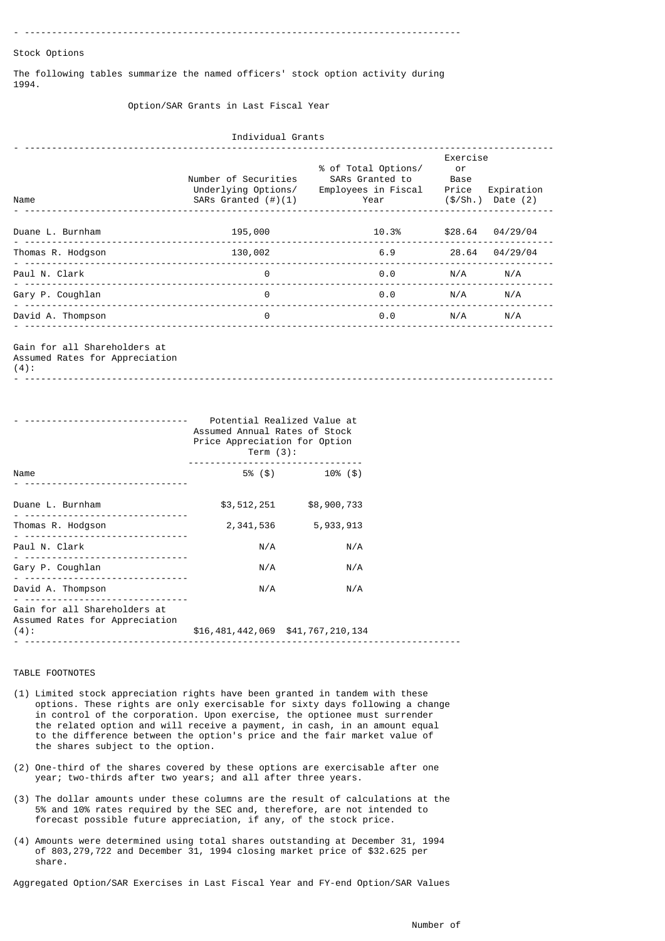### Stock Options

The following tables summarize the named officers' stock option activity during 1994.

Option/SAR Grants in Last Fiscal Year

#### Individual Grants

| Name              | Number of Securities<br>Underlying Options/<br>SARs Granted $(\#)(1)$ | % of Total Options/<br>SARs Granted to<br>Employees in Fiscal<br>Year | Exercise<br>or<br>Base<br>Price<br>(\$/Sh.) Date (2) | Expiration |
|-------------------|-----------------------------------------------------------------------|-----------------------------------------------------------------------|------------------------------------------------------|------------|
| Duane L. Burnham  | 195,000                                                               | 10.3%                                                                 | \$28.64                                              | 04/29/04   |
| Thomas R. Hodgson | 130,002                                                               | 6.9                                                                   | 28.64                                                | 04/29/04   |
| Paul N. Clark     | $\Theta$                                                              | 0.0                                                                   | N/A N/A                                              |            |
| Gary P. Coughlan  | 0                                                                     | 0.0                                                                   | N/A                                                  | N/A        |
| David A. Thompson | 0                                                                     | 0.0                                                                   | N/A N/A                                              |            |

- -------------------------------------------------------------------------------------------------

Assumed Rates for Appreciation

(4):

|                                                                        | Potential Realized Value at<br>Assumed Annual Rates of Stock<br>Price Appreciation for Option<br>Term(3): |                                   |  |  |  |
|------------------------------------------------------------------------|-----------------------------------------------------------------------------------------------------------|-----------------------------------|--|--|--|
| Name                                                                   |                                                                                                           | $5\%$ (\$) $10\%$ (\$)            |  |  |  |
| Duane L. Burnham                                                       | \$3,512,251                                                                                               | \$8,900,733                       |  |  |  |
| Thomas R. Hodgson<br>-------------------------------                   | 2,341,536                                                                                                 | 5,933,913                         |  |  |  |
| Paul N. Clark<br>.                                                     | N/A                                                                                                       | N/A                               |  |  |  |
| Gary P. Coughlan                                                       | N/A                                                                                                       | N/A                               |  |  |  |
| _____________________________<br>David A. Thompson                     | N/A                                                                                                       | N/A                               |  |  |  |
| Gain for all Shareholders at<br>Assumed Rates for Appreciation<br>(4): |                                                                                                           | \$16,481,442,069 \$41,767,210,134 |  |  |  |

#### TABLE FOOTNOTES

- (1) Limited stock appreciation rights have been granted in tandem with these options. These rights are only exercisable for sixty days following a change in control of the corporation. Upon exercise, the optionee must surrender the related option and will receive a payment, in cash, in an amount equal to the difference between the option's price and the fair market value of the shares subject to the option.
- (2) One-third of the shares covered by these options are exercisable after one year; two-thirds after two years; and all after three years.
- (3) The dollar amounts under these columns are the result of calculations at the 5% and 10% rates required by the SEC and, therefore, are not intended to forecast possible future appreciation, if any, of the stock price.
- (4) Amounts were determined using total shares outstanding at December 31, 1994 of 803,279,722 and December 31, 1994 closing market price of \$32.625 per share.

Aggregated Option/SAR Exercises in Last Fiscal Year and FY-end Option/SAR Values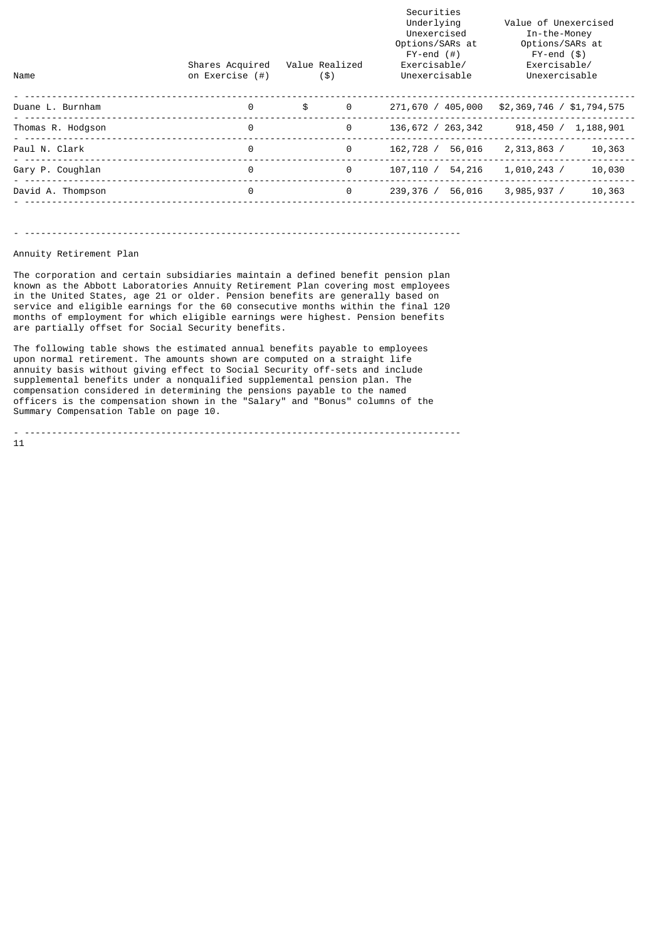| Name              | Shares Acquired<br>on Exercise $($ #) | Value Realized | (3) | Securities<br>Underlying<br>Unexercised<br>Options/SARs at<br>$FY-end$ $(#)$<br>Exercisable/<br>Unexercisable | Value of Unexercised<br>In-the-Money<br>Options/SARs at<br>$FY-end ($ \$)<br>Exercisable/<br>Unexercisable |           |
|-------------------|---------------------------------------|----------------|-----|---------------------------------------------------------------------------------------------------------------|------------------------------------------------------------------------------------------------------------|-----------|
| Duane L. Burnham  | 0                                     | \$             | 0   | 271,670 / 405,000                                                                                             | \$2,369,746 / \$1,794,575                                                                                  |           |
| Thomas R. Hodgson | 0                                     |                | 0   | 136,672 / 263,342                                                                                             | 918,450/                                                                                                   | 1,188,901 |
| Paul N. Clark     | 0                                     |                | 0   | 162,728 /<br>56,016                                                                                           | 2,313,863 /                                                                                                | 10,363    |
| Gary P. Coughlan  | 0                                     |                | 0   | 107, 110 /<br>54,216                                                                                          | 1,010,243/                                                                                                 | 10,030    |
| David A. Thompson | 0                                     |                | 0   | 239,376 /<br>56,016                                                                                           | 3,985,937 /                                                                                                | 10,363    |
|                   |                                       |                |     |                                                                                                               |                                                                                                            |           |

## Annuity Retirement Plan

The corporation and certain subsidiaries maintain a defined benefit pension plan known as the Abbott Laboratories Annuity Retirement Plan covering most employees in the United States, age 21 or older. Pension benefits are generally based on service and eligible earnings for the 60 consecutive months within the final 120 months of employment for which eligible earnings were highest. Pension benefits are partially offset for Social Security benefits.

The following table shows the estimated annual benefits payable to employees upon normal retirement. The amounts shown are computed on a straight life annuity basis without giving effect to Social Security off-sets and include supplemental benefits under a nonqualified supplemental pension plan. The compensation considered in determining the pensions payable to the named officers is the compensation shown in the "Salary" and "Bonus" columns of the Summary Compensation Table on page 10.

- --------------------------------------------------------------------------------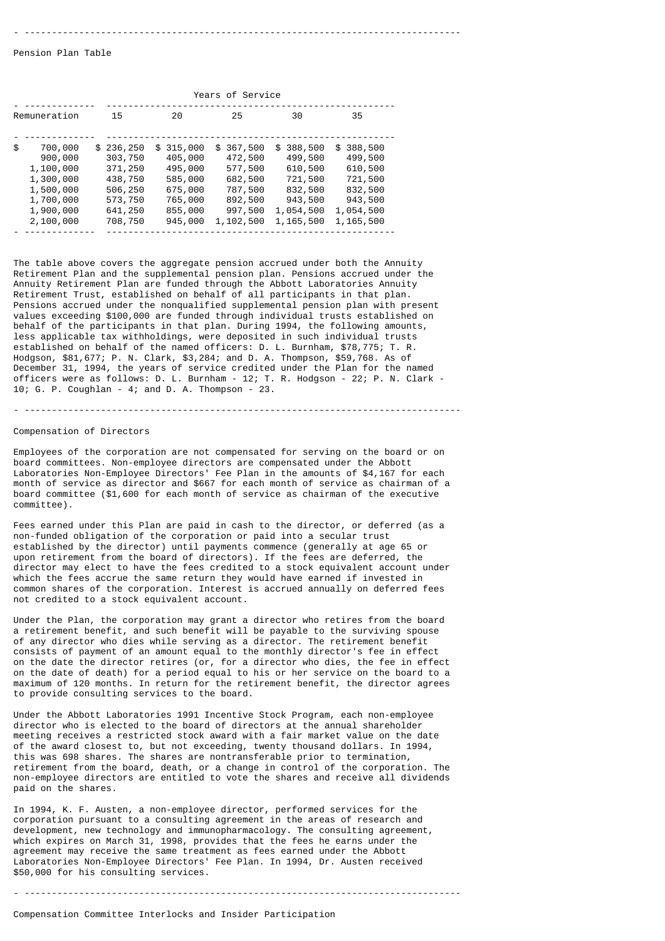## Pension Plan Table

|                                                                                                        | Years of Service                                                                       |                                                                                        |                                                                                          |                                                                                            |                                                                                            |  |  |
|--------------------------------------------------------------------------------------------------------|----------------------------------------------------------------------------------------|----------------------------------------------------------------------------------------|------------------------------------------------------------------------------------------|--------------------------------------------------------------------------------------------|--------------------------------------------------------------------------------------------|--|--|
| Remuneration                                                                                           | 15                                                                                     | 20                                                                                     | 25                                                                                       | 30                                                                                         | 35                                                                                         |  |  |
| \$<br>700,000<br>900,000<br>1,100,000<br>1,300,000<br>1,500,000<br>1,700,000<br>1,900,000<br>2,100,000 | \$236,250<br>303,750<br>371,250<br>438,750<br>506,250<br>573,750<br>641,250<br>708,750 | \$315,000<br>405,000<br>495,000<br>585,000<br>675,000<br>765,000<br>855,000<br>945,000 | \$367,500<br>472,500<br>577,500<br>682,500<br>787,500<br>892,500<br>997,500<br>1,102,500 | \$388,500<br>499,500<br>610,500<br>721,500<br>832,500<br>943,500<br>1,054,500<br>1,165,500 | \$388,500<br>499,500<br>610,500<br>721,500<br>832,500<br>943,500<br>1,054,500<br>1,165,500 |  |  |

The table above covers the aggregate pension accrued under both the Annuity Retirement Plan and the supplemental pension plan. Pensions accrued under the Annuity Retirement Plan are funded through the Abbott Laboratories Annuity Retirement Trust, established on behalf of all participants in that plan. Pensions accrued under the nonqualified supplemental pension plan with present values exceeding \$100,000 are funded through individual trusts established on behalf of the participants in that plan. During 1994, the following amounts, less applicable tax withholdings, were deposited in such individual trusts established on behalf of the named officers: D. L. Burnham, \$78,775; T. R. Hodgson, \$81,677; P. N. Clark, \$3,284; and D. A. Thompson, \$59,768. As of December 31, 1994, the years of service credited under the Plan for the named officers were as follows: D. L. Burnham - 12; T. R. Hodgson - 22; P. N. Clark - 10; G. P. Coughlan - 4; and D. A. Thompson  $-23$ .

### Compensation of Directors

Employees of the corporation are not compensated for serving on the board or on board committees. Non-employee directors are compensated under the Abbott Laboratories Non-Employee Directors' Fee Plan in the amounts of \$4,167 for each month of service as director and \$667 for each month of service as chairman of a board committee (\$1,600 for each month of service as chairman of the executive committee).

- --------------------------------------------------------------------------------

Fees earned under this Plan are paid in cash to the director, or deferred (as a non-funded obligation of the corporation or paid into a secular trust established by the director) until payments commence (generally at age 65 or upon retirement from the board of directors). If the fees are deferred, the director may elect to have the fees credited to a stock equivalent account under which the fees accrue the same return they would have earned if invested in common shares of the corporation. Interest is accrued annually on deferred fees not credited to a stock equivalent account.

Under the Plan, the corporation may grant a director who retires from the board a retirement benefit, and such benefit will be payable to the surviving spouse of any director who dies while serving as a director. The retirement benefit consists of payment of an amount equal to the monthly director's fee in effect on the date the director retires (or, for a director who dies, the fee in effect on the date of death) for a period equal to his or her service on the board to a maximum of 120 months. In return for the retirement benefit, the director agrees to provide consulting services to the board.

Under the Abbott Laboratories 1991 Incentive Stock Program, each non-employee director who is elected to the board of directors at the annual shareholder meeting receives a restricted stock award with a fair market value on the date of the award closest to, but not exceeding, twenty thousand dollars. In 1994, this was 698 shares. The shares are nontransferable prior to termination, retirement from the board, death, or a change in control of the corporation. The non-employee directors are entitled to vote the shares and receive all dividends paid on the shares.

In 1994, K. F. Austen, a non-employee director, performed services for the corporation pursuant to a consulting agreement in the areas of research and development, new technology and immunopharmacology. The consulting agreement, which expires on March 31, 1998, provides that the fees he earns under the agreement may receive the same treatment as fees earned under the Abbott Laboratories Non-Employee Directors' Fee Plan. In 1994, Dr. Austen received \$50,000 for his consulting services.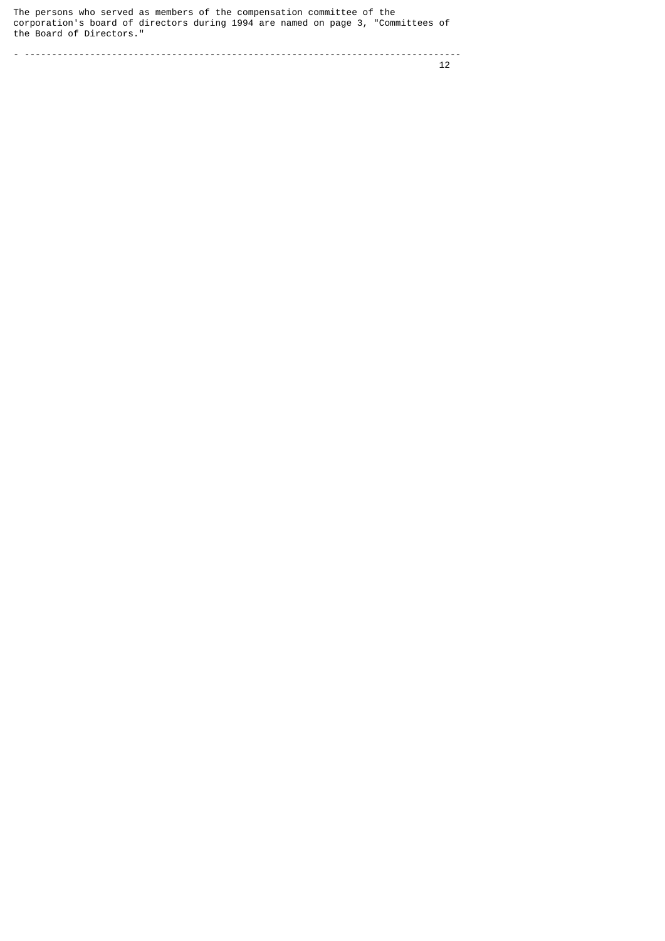The persons who served as members of the compensation committee of the corporation's board of directors during 1994 are named on page 3, "Committees of the Board of Directors." - --------------------------------------------------------------------------------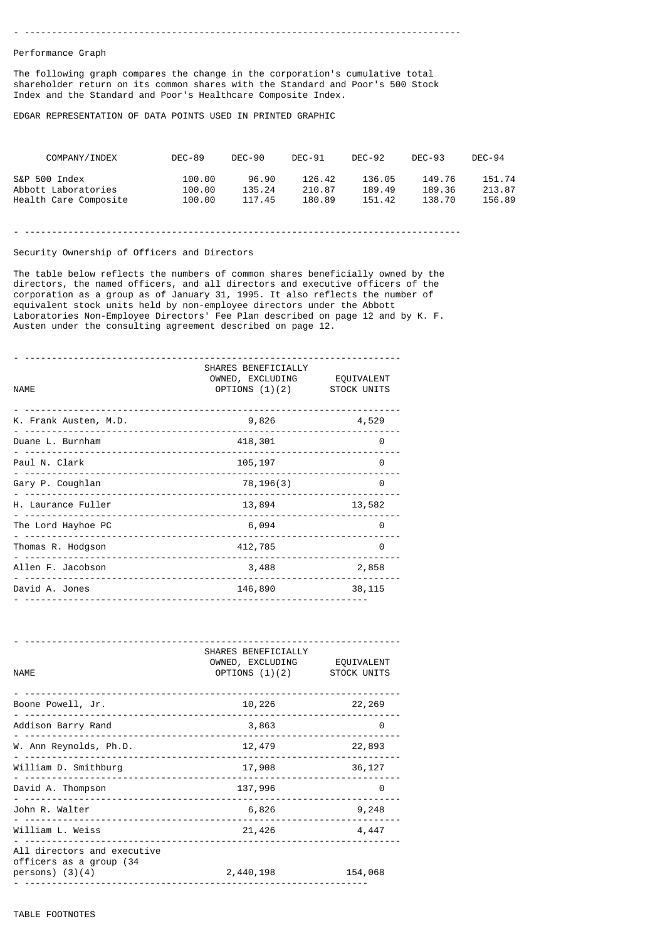### Performance Graph

The following graph compares the change in the corporation's cumulative total shareholder return on its common shares with the Standard and Poor's 500 Stock Index and the Standard and Poor's Healthcare Composite Index.

EDGAR REPRESENTATION OF DATA POINTS USED IN PRINTED GRAPHIC

| COMPANY/INDEX         | DEC-89 | DEC-90 | DEC-91 | DFC-92 | DFC-93 | DFC-94 |
|-----------------------|--------|--------|--------|--------|--------|--------|
| S&P 500 Index         | 100.00 | 96.90  | 126.42 | 136.05 | 149.76 | 151.74 |
| Abbott Laboratories   | 100.00 | 135.24 | 210.87 | 189.49 | 189.36 | 213.87 |
| Health Care Composite | 100.00 | 117.45 | 180.89 | 151.42 | 138.70 | 156.89 |

- --------------------------------------------------------------------------------

## Security Ownership of Officers and Directors

The table below reflects the numbers of common shares beneficially owned by the directors, the named officers, and all directors and executive officers of the corporation as a group as of January 31, 1995. It also reflects the number of equivalent stock units held by non-employee directors under the Abbott Laboratories Non-Employee Directors' Fee Plan described on page 12 and by K. F. Austen under the consulting agreement described on page 12.

| <b>NAME</b>           | SHARES BENEFICIALLY<br>OWNED, EXCLUDING<br>OPTIONS $(1)(2)$ | EQUIVALENT<br><b>STOCK UNITS</b> |
|-----------------------|-------------------------------------------------------------|----------------------------------|
| K. Frank Austen, M.D. | 9,826                                                       | 4,529                            |
| Duane L. Burnham      | 418,301                                                     | 0                                |
| Paul N. Clark         | 105,197                                                     | 0                                |
| Gary P. Coughlan      | 78,196(3)                                                   | 0                                |
| H. Laurance Fuller    | 13,894                                                      | 13,582                           |
| The Lord Hayhoe PC    | 6,094                                                       | 0                                |
| Thomas R. Hodgson     | 412,785                                                     | 0                                |
| Allen F. Jacobson     | 3,488                                                       | 2,858                            |
| David A. Jones        | 146,890                                                     | 38, 115                          |

| ________    |                     |             |
|-------------|---------------------|-------------|
|             |                     |             |
| <b>NAMF</b> | OPTIONS $(1)(2)$    | STOCK UNITS |
|             | OWNED, EXCLUDING    | EQUIVALENT  |
|             | SHARES BENEFICIALLY |             |
|             |                     |             |
|             |                     |             |

| Boone Powell, Jr.                                                           | 10,226    | 22,269  |
|-----------------------------------------------------------------------------|-----------|---------|
| Addison Barry Rand<br>--------------------------                            | 3,863     | 0       |
| W. Ann Reynolds, Ph.D.                                                      | 12,479    | 22,893  |
| William D. Smithburg                                                        | 17,908    | 36,127  |
| David A. Thompson                                                           | 137,996   | 0       |
| John R. Walter                                                              | 6,826     | 9,248   |
| William L. Weiss                                                            | 21,426    | 4,447   |
| All directors and executive<br>officers as a group (34<br>persons) $(3)(4)$ | 2,440,198 | 154,068 |
|                                                                             |           |         |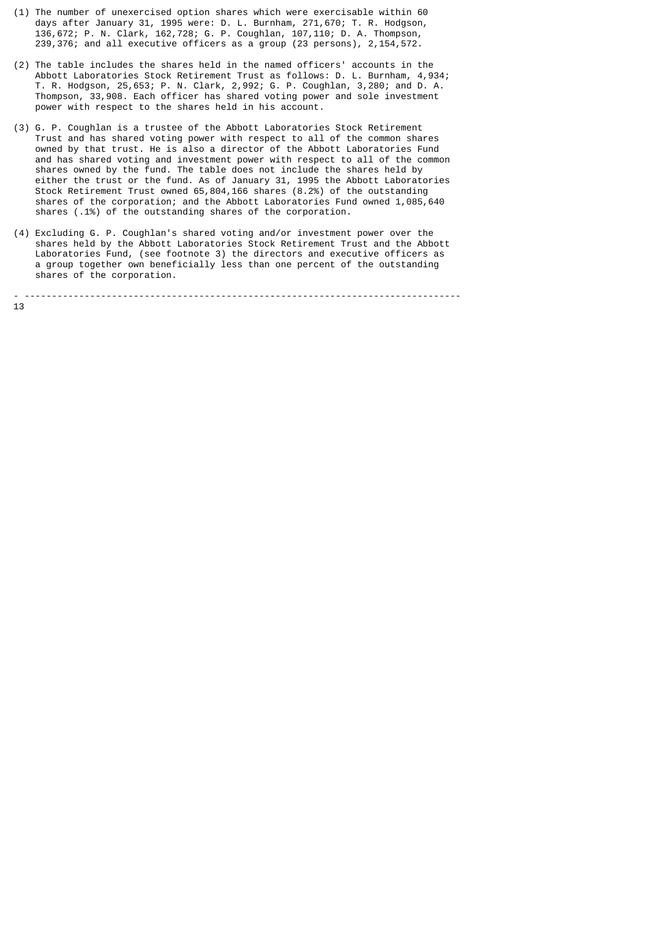- (1) The number of unexercised option shares which were exercisable within 60 days after January 31, 1995 were: D. L. Burnham, 271,670; T. R. Hodgson, 136,672; P. N. Clark, 162,728; G. P. Coughlan, 107,110; D. A. Thompson, 239,376; and all executive officers as a group (23 persons), 2,154,572.
- (2) The table includes the shares held in the named officers' accounts in the Abbott Laboratories Stock Retirement Trust as follows: D. L. Burnham, 4,934; T. R. Hodgson, 25,653; P. N. Clark, 2,992; G. P. Coughlan, 3,280; and D. A. Thompson, 33,908. Each officer has shared voting power and sole investment power with respect to the shares held in his account.
- (3) G. P. Coughlan is a trustee of the Abbott Laboratories Stock Retirement Trust and has shared voting power with respect to all of the common shares owned by that trust. He is also a director of the Abbott Laboratories Fund and has shared voting and investment power with respect to all of the common shares owned by the fund. The table does not include the shares held by either the trust or the fund. As of January 31, 1995 the Abbott Laboratories Stock Retirement Trust owned 65,804,166 shares (8.2%) of the outstanding shares of the corporation; and the Abbott Laboratories Fund owned 1,085,640 shares (.1%) of the outstanding shares of the corporation.
- (4) Excluding G. P. Coughlan's shared voting and/or investment power over the shares held by the Abbott Laboratories Stock Retirement Trust and the Abbott Laboratories Fund, (see footnote 3) the directors and executive officers as a group together own beneficially less than one percent of the outstanding shares of the corporation.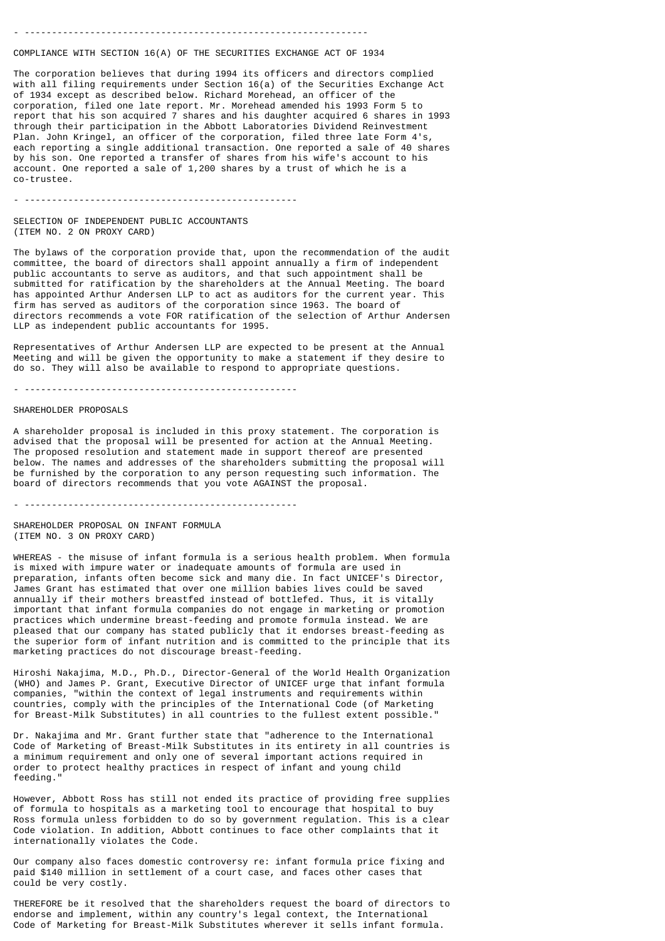## - ---------------------------------------------------------------

## COMPLIANCE WITH SECTION 16(A) OF THE SECURITIES EXCHANGE ACT OF 1934

The corporation believes that during 1994 its officers and directors complied with all filing requirements under Section 16(a) of the Securities Exchange Act of 1934 except as described below. Richard Morehead, an officer of the corporation, filed one late report. Mr. Morehead amended his 1993 Form 5 to report that his son acquired 7 shares and his daughter acquired 6 shares in 1993 through their participation in the Abbott Laboratories Dividend Reinvestment Plan. John Kringel, an officer of the corporation, filed three late Form 4's, each reporting a single additional transaction. One reported a sale of 40 shares by his son. One reported a transfer of shares from his wife's account to his account. One reported a sale of 1,200 shares by a trust of which he is a co-trustee.

- --------------------------------------------------

#### SELECTION OF INDEPENDENT PUBLIC ACCOUNTANTS (ITEM NO. 2 ON PROXY CARD)

The bylaws of the corporation provide that, upon the recommendation of the audit committee, the board of directors shall appoint annually a firm of independent public accountants to serve as auditors, and that such appointment shall be submitted for ratification by the shareholders at the Annual Meeting. The board has appointed Arthur Andersen LLP to act as auditors for the current year. This firm has served as auditors of the corporation since 1963. The board of directors recommends a vote FOR ratification of the selection of Arthur Andersen LLP as independent public accountants for 1995.

Representatives of Arthur Andersen LLP are expected to be present at the Annual Meeting and will be given the opportunity to make a statement if they desire to do so. They will also be available to respond to appropriate questions.

- --------------------------------------------------

## SHAREHOLDER PROPOSALS

A shareholder proposal is included in this proxy statement. The corporation is advised that the proposal will be presented for action at the Annual Meeting. The proposed resolution and statement made in support thereof are presented below. The names and addresses of the shareholders submitting the proposal will be furnished by the corporation to any person requesting such information. The board of directors recommends that you vote AGAINST the proposal.

### - --------------------------------------------------

SHAREHOLDER PROPOSAL ON INFANT FORMULA (ITEM NO. 3 ON PROXY CARD)

WHEREAS - the misuse of infant formula is a serious health problem. When formula is mixed with impure water or inadequate amounts of formula are used in preparation, infants often become sick and many die. In fact UNICEF's Director, James Grant has estimated that over one million babies lives could be saved annually if their mothers breastfed instead of bottlefed. Thus, it is vitally important that infant formula companies do not engage in marketing or promotion practices which undermine breast-feeding and promote formula instead. We are pleased that our company has stated publicly that it endorses breast-feeding as the superior form of infant nutrition and is committed to the principle that its marketing practices do not discourage breast-feeding.

Hiroshi Nakajima, M.D., Ph.D., Director-General of the World Health Organization (WHO) and James P. Grant, Executive Director of UNICEF urge that infant formula companies, "within the context of legal instruments and requirements within countries, comply with the principles of the International Code (of Marketing for Breast-Milk Substitutes) in all countries to the fullest extent possible."

Dr. Nakajima and Mr. Grant further state that "adherence to the International Code of Marketing of Breast-Milk Substitutes in its entirety in all countries is a minimum requirement and only one of several important actions required in order to protect healthy practices in respect of infant and young child feeding."

However, Abbott Ross has still not ended its practice of providing free supplies of formula to hospitals as a marketing tool to encourage that hospital to buy Ross formula unless forbidden to do so by government regulation. This is a clear Code violation. In addition, Abbott continues to face other complaints that it internationally violates the Code.

Our company also faces domestic controversy re: infant formula price fixing and paid \$140 million in settlement of a court case, and faces other cases that could be very costly.

THEREFORE be it resolved that the shareholders request the board of directors to endorse and implement, within any country's legal context, the International Code of Marketing for Breast-Milk Substitutes wherever it sells infant formula.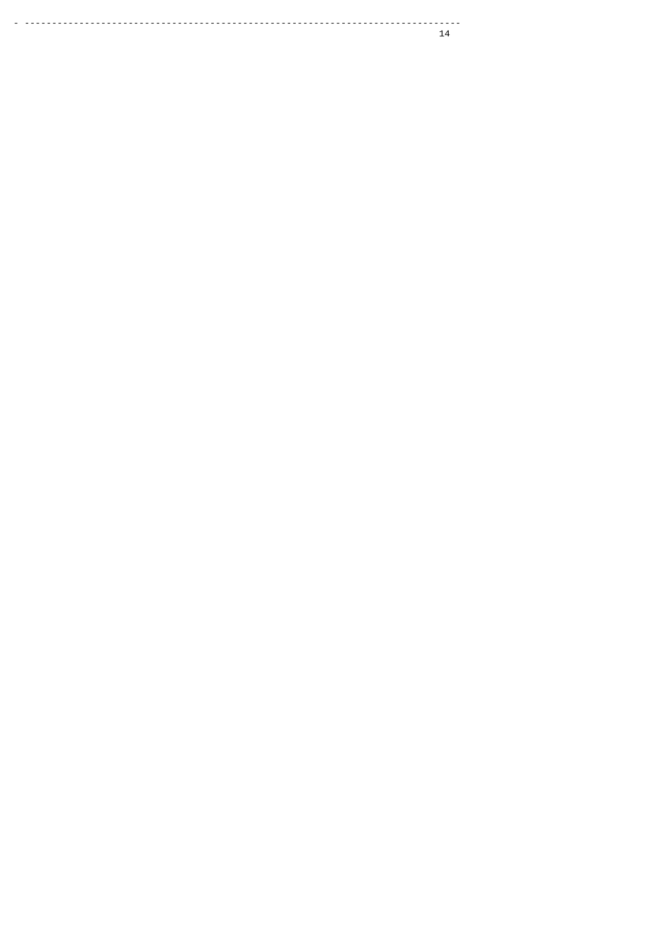$\frac{1}{14}$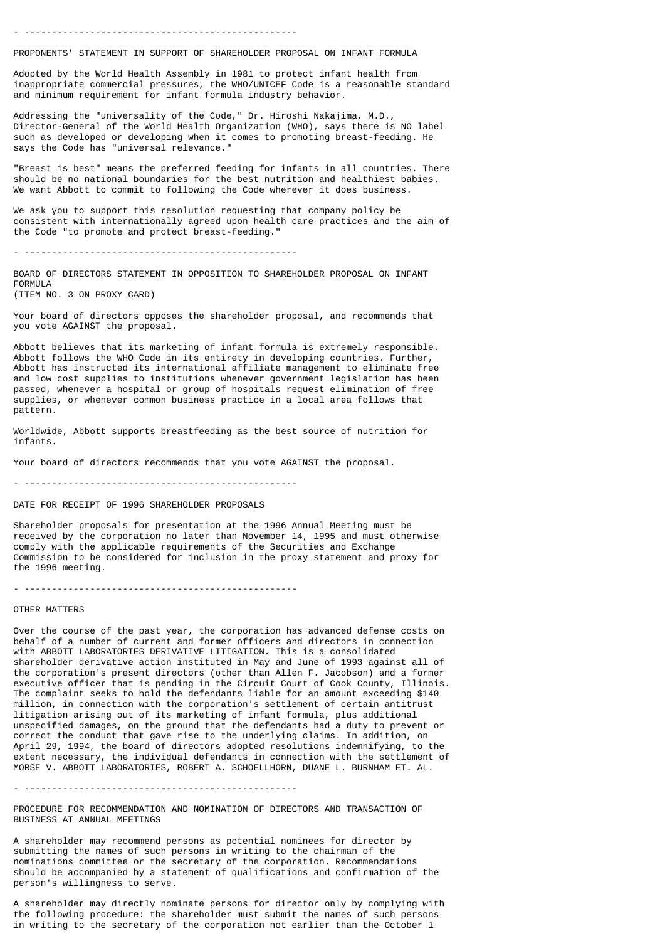- --------------------------------------------------

PROPONENTS' STATEMENT IN SUPPORT OF SHAREHOLDER PROPOSAL ON INFANT FORMULA

Adopted by the World Health Assembly in 1981 to protect infant health from inappropriate commercial pressures, the WHO/UNICEF Code is a reasonable standard and minimum requirement for infant formula industry behavior.

Addressing the "universality of the Code," Dr. Hiroshi Nakajima, M.D., Director-General of the World Health Organization (WHO), says there is NO label such as developed or developing when it comes to promoting breast-feeding. He says the Code has "universal relevance."

"Breast is best" means the preferred feeding for infants in all countries. There should be no national boundaries for the best nutrition and healthiest babies. We want Abbott to commit to following the Code wherever it does business.

We ask you to support this resolution requesting that company policy be consistent with internationally agreed upon health care practices and the aim of the Code "to promote and protect breast-feeding."

- --------------------------------------------------

BOARD OF DIRECTORS STATEMENT IN OPPOSITION TO SHAREHOLDER PROPOSAL ON INFANT FORMULA (ITEM NO. 3 ON PROXY CARD)

Your board of directors opposes the shareholder proposal, and recommends that you vote AGAINST the proposal.

Abbott believes that its marketing of infant formula is extremely responsible. Abbott follows the WHO Code in its entirety in developing countries. Further, Abbott has instructed its international affiliate management to eliminate free and low cost supplies to institutions whenever government legislation has been passed, whenever a hospital or group of hospitals request elimination of free supplies, or whenever common business practice in a local area follows that pattern.

Worldwide, Abbott supports breastfeeding as the best source of nutrition for infants.

Your board of directors recommends that you vote AGAINST the proposal.

- --------------------------------------------------

DATE FOR RECEIPT OF 1996 SHAREHOLDER PROPOSALS

Shareholder proposals for presentation at the 1996 Annual Meeting must be received by the corporation no later than November 14, 1995 and must otherwise comply with the applicable requirements of the Securities and Exchange Commission to be considered for inclusion in the proxy statement and proxy for the 1996 meeting.

- --------------------------------------------------

## OTHER MATTERS

Over the course of the past year, the corporation has advanced defense costs on behalf of a number of current and former officers and directors in connection with ABBOTT LABORATORIES DERIVATIVE LITIGATION. This is a consolidated shareholder derivative action instituted in May and June of 1993 against all of the corporation's present directors (other than Allen F. Jacobson) and a former executive officer that is pending in the Circuit Court of Cook County, Illinois. The complaint seeks to hold the defendants liable for an amount exceeding \$140 million, in connection with the corporation's settlement of certain antitrust litigation arising out of its marketing of infant formula, plus additional unspecified damages, on the ground that the defendants had a duty to prevent or correct the conduct that gave rise to the underlying claims. In addition, on April 29, 1994, the board of directors adopted resolutions indemnifying, to the extent necessary, the individual defendants in connection with the settlement of MORSE V. ABBOTT LABORATORIES, ROBERT A. SCHOELLHORN, DUANE L. BURNHAM ET. AL.

- --------------------------------------------------

PROCEDURE FOR RECOMMENDATION AND NOMINATION OF DIRECTORS AND TRANSACTION OF BUSINESS AT ANNUAL MEETINGS

A shareholder may recommend persons as potential nominees for director by submitting the names of such persons in writing to the chairman of the nominations committee or the secretary of the corporation. Recommendations should be accompanied by a statement of qualifications and confirmation of the person's willingness to serve.

A shareholder may directly nominate persons for director only by complying with the following procedure: the shareholder must submit the names of such persons in writing to the secretary of the corporation not earlier than the October 1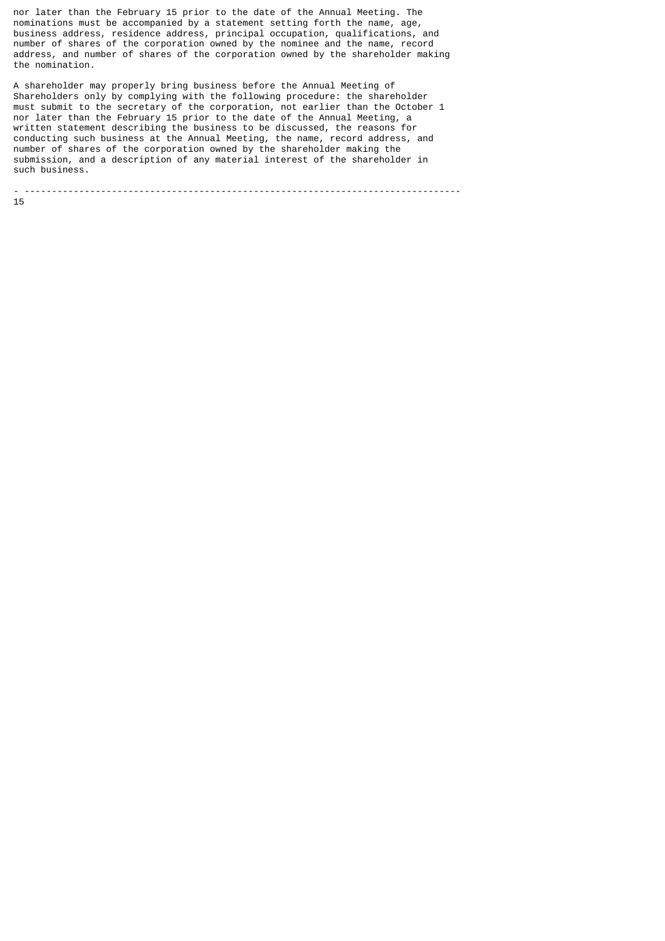nor later than the February 15 prior to the date of the Annual Meeting. The nominations must be accompanied by a statement setting forth the name, age, business address, residence address, principal occupation, qualifications, and number of shares of the corporation owned by the nominee and the name, record address, and number of shares of the corporation owned by the shareholder making the nomination.

A shareholder may properly bring business before the Annual Meeting of Shareholders only by complying with the following procedure: the shareholder must submit to the secretary of the corporation, not earlier than the October 1 nor later than the February 15 prior to the date of the Annual Meeting, a written statement describing the business to be discussed, the reasons for conducting such business at the Annual Meeting, the name, record address, and number of shares of the corporation owned by the shareholder making the submission, and a description of any material interest of the shareholder in such business.

- --------------------------------------------------------------------------------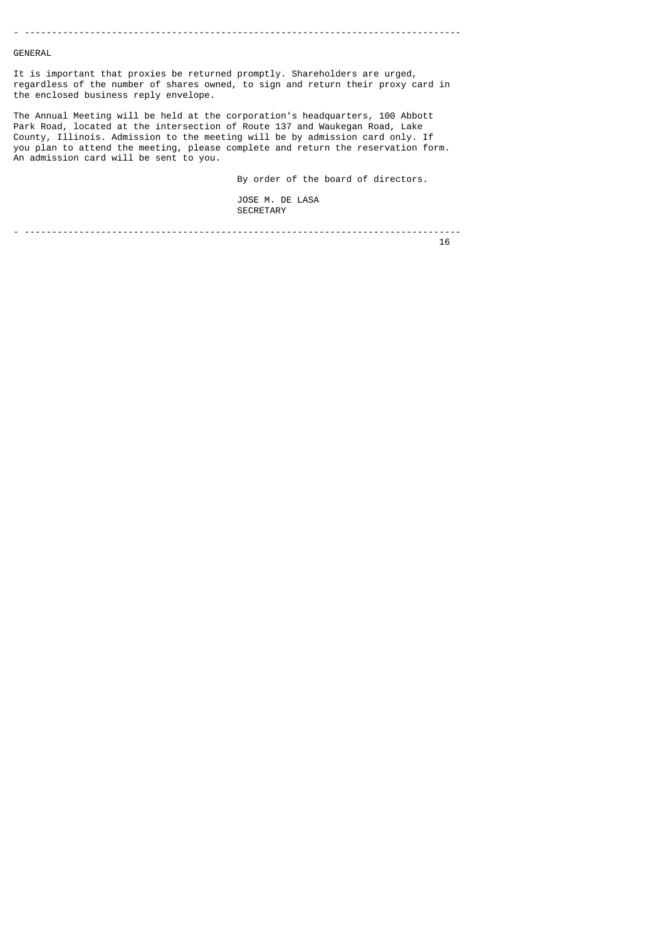### GENERAL

It is important that proxies be returned promptly. Shareholders are urged, regardless of the number of shares owned, to sign and return their proxy card in the enclosed business reply envelope.

The Annual Meeting will be held at the corporation's headquarters, 100 Abbott Park Road, located at the intersection of Route 137 and Waukegan Road, Lake County, Illinois. Admission to the meeting will be by admission card only. If you plan to attend the meeting, please complete and return the reservation form. An admission card will be sent to you.

By order of the board of directors.

 JOSE M. DE LASA SECRETARY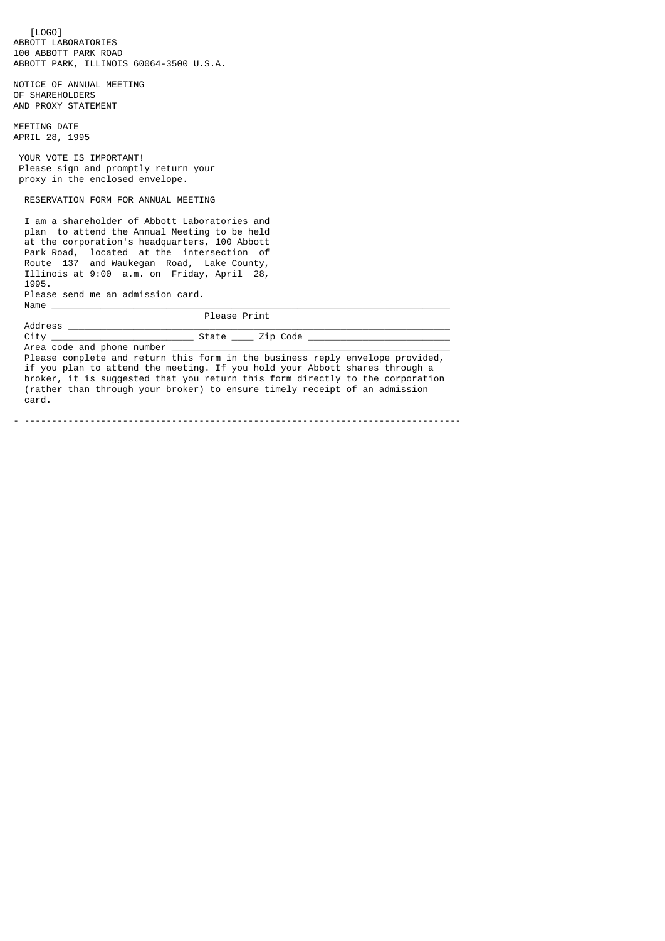[LOGO] ABBOTT LABORATORIES 100 ABBOTT PARK ROAD ABBOTT PARK, ILLINOIS 60064-3500 U.S.A.

NOTICE OF ANNUAL MEETING OF SHAREHOLDERS AND PROXY STATEMENT

MEETING DATE APRIL 28, 1995

YOUR VOTE IS IMPORTANT! Please sign and promptly return your proxy in the enclosed envelope.

RESERVATION FORM FOR ANNUAL MEETING

 I am a shareholder of Abbott Laboratories and plan to attend the Annual Meeting to be held at the corporation's headquarters, 100 Abbott Park Road, located at the intersection of Route 137 and Waukegan Road, Lake County, Illinois at 9:00 a.m. on Friday, April 28, 1995. Please send me an admission card.

 Name \_\_\_\_\_\_\_\_\_\_\_\_\_\_\_\_\_\_\_\_\_\_\_\_\_\_\_\_\_\_\_\_\_\_\_\_\_\_\_\_\_\_\_\_\_\_\_\_\_\_\_\_\_\_\_\_\_\_\_\_\_\_\_\_\_\_\_\_\_\_\_\_\_ Please Print Address \_\_\_\_\_\_\_\_\_\_\_\_\_\_\_\_\_\_\_\_\_\_\_\_\_\_\_\_\_\_\_\_\_\_\_\_\_\_\_\_\_\_\_\_\_\_\_\_\_\_\_\_\_\_\_\_\_\_\_\_\_\_\_\_\_\_\_\_\_\_ City \_\_\_\_\_\_\_\_\_\_\_\_\_\_\_\_\_\_\_\_\_\_\_\_\_\_ State \_\_\_\_ Zip Code \_\_\_\_\_\_\_\_\_\_\_\_\_\_\_\_\_\_\_\_\_\_\_\_\_\_ Area code and phone number Please complete and return this form in the business reply envelope provided, if you plan to attend the meeting. If you hold your Abbott shares through a broker, it is suggested that you return this form directly to the corporation (rather than through your broker) to ensure timely receipt of an admission card.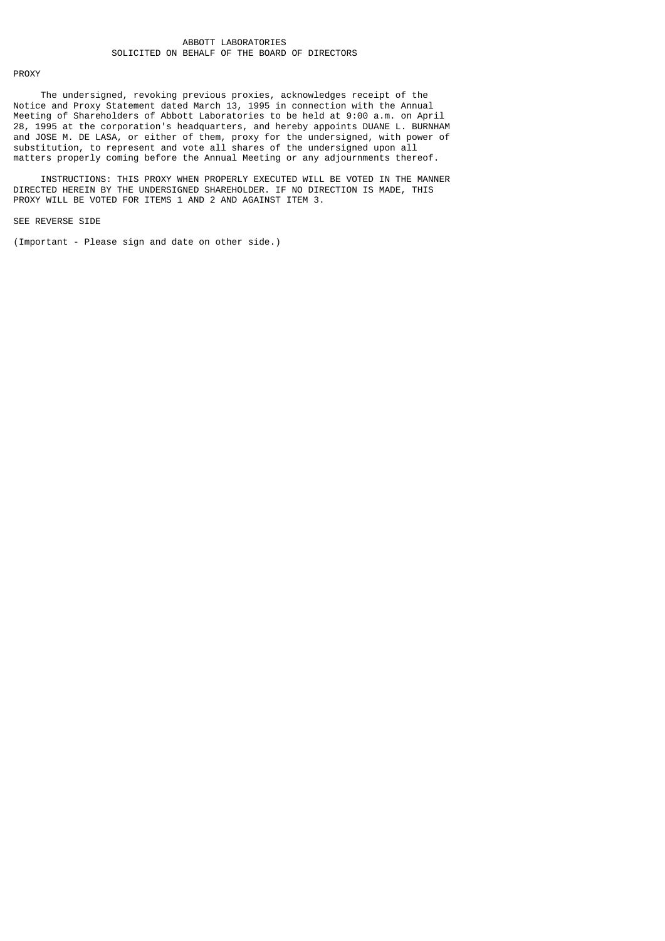## ABBOTT LABORATORIES SOLICITED ON BEHALF OF THE BOARD OF DIRECTORS

#### PROXY

 The undersigned, revoking previous proxies, acknowledges receipt of the Notice and Proxy Statement dated March 13, 1995 in connection with the Annual Meeting of Shareholders of Abbott Laboratories to be held at 9:00 a.m. on April 28, 1995 at the corporation's headquarters, and hereby appoints DUANE L. BURNHAM and JOSE M. DE LASA, or either of them, proxy for the undersigned, with power of substitution, to represent and vote all shares of the undersigned upon all matters properly coming before the Annual Meeting or any adjournments thereof.

 INSTRUCTIONS: THIS PROXY WHEN PROPERLY EXECUTED WILL BE VOTED IN THE MANNER DIRECTED HEREIN BY THE UNDERSIGNED SHAREHOLDER. IF NO DIRECTION IS MADE, THIS PROXY WILL BE VOTED FOR ITEMS 1 AND 2 AND AGAINST ITEM 3.

SEE REVERSE SIDE

(Important - Please sign and date on other side.)